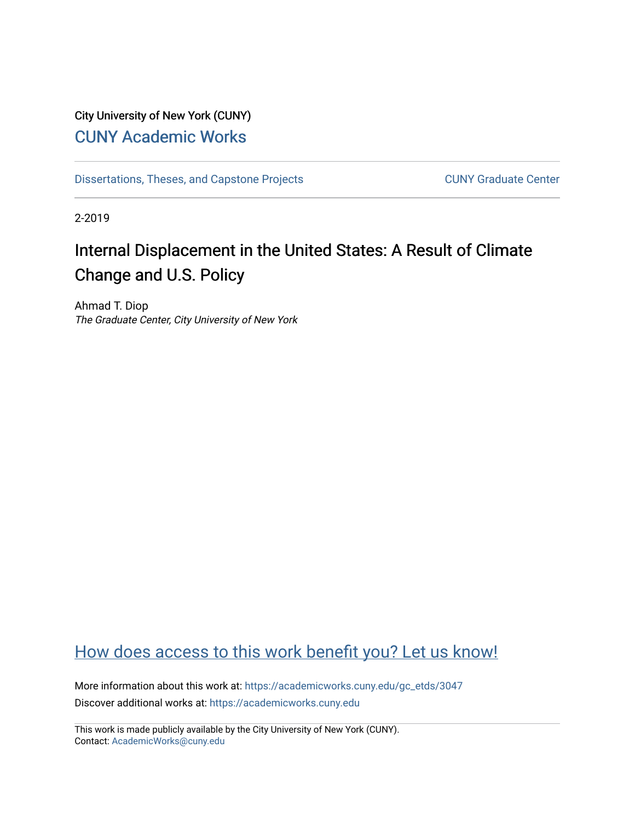## City University of New York (CUNY) [CUNY Academic Works](https://academicworks.cuny.edu/)

[Dissertations, Theses, and Capstone Projects](https://academicworks.cuny.edu/gc_etds) CUNY Graduate Center

2-2019

# Internal Displacement in the United States: A Result of Climate Change and U.S. Policy

Ahmad T. Diop The Graduate Center, City University of New York

# [How does access to this work benefit you? Let us know!](http://ols.cuny.edu/academicworks/?ref=https://academicworks.cuny.edu/gc_etds/3047)

More information about this work at: [https://academicworks.cuny.edu/gc\\_etds/3047](https://academicworks.cuny.edu/gc_etds/3047) Discover additional works at: [https://academicworks.cuny.edu](https://academicworks.cuny.edu/?)

This work is made publicly available by the City University of New York (CUNY). Contact: [AcademicWorks@cuny.edu](mailto:AcademicWorks@cuny.edu)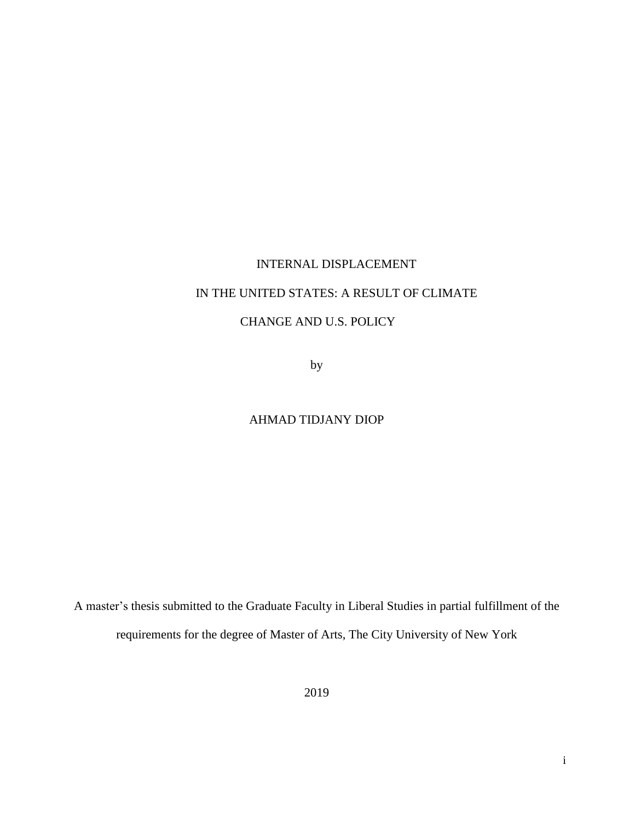# INTERNAL DISPLACEMENT IN THE UNITED STATES: A RESULT OF CLIMATE CHANGE AND U.S. POLICY

by

### AHMAD TIDJANY DIOP

A master's thesis submitted to the Graduate Faculty in Liberal Studies in partial fulfillment of the requirements for the degree of Master of Arts, The City University of New York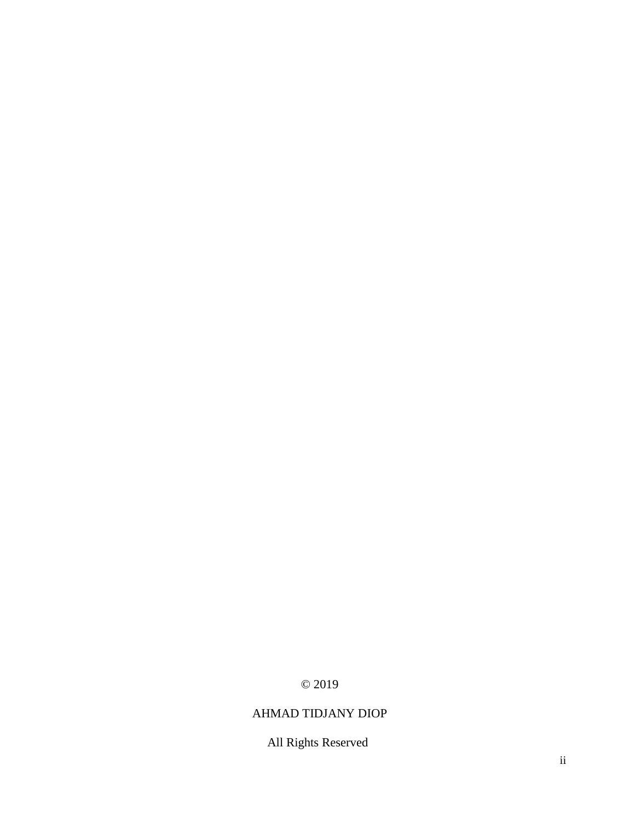## © 2019

## AHMAD TIDJANY DIOP

## All Rights Reserved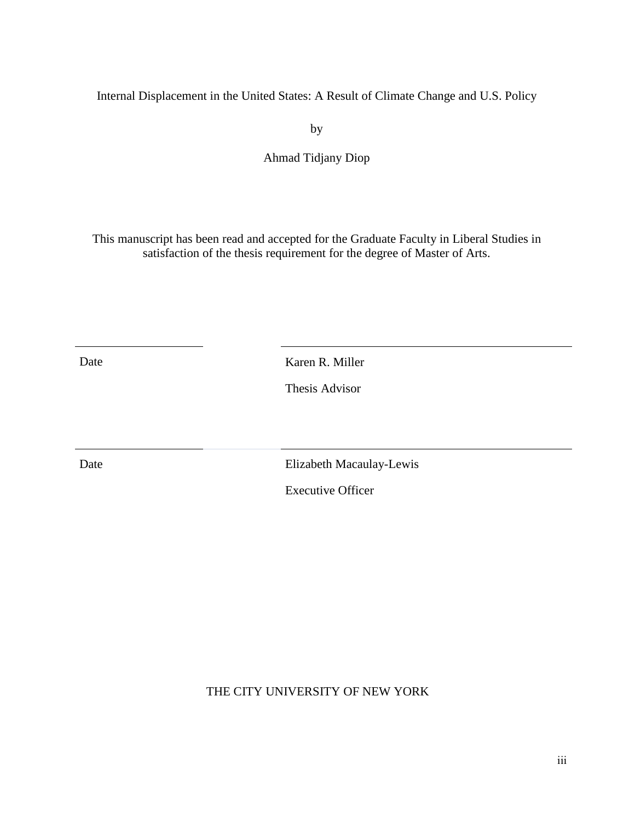Internal Displacement in the United States: A Result of Climate Change and U.S. Policy

by

Ahmad Tidjany Diop

This manuscript has been read and accepted for the Graduate Faculty in Liberal Studies in satisfaction of the thesis requirement for the degree of Master of Arts.

Date Karen R. Miller

Thesis Advisor

Date Elizabeth Macaulay-Lewis

Executive Officer

THE CITY UNIVERSITY OF NEW YORK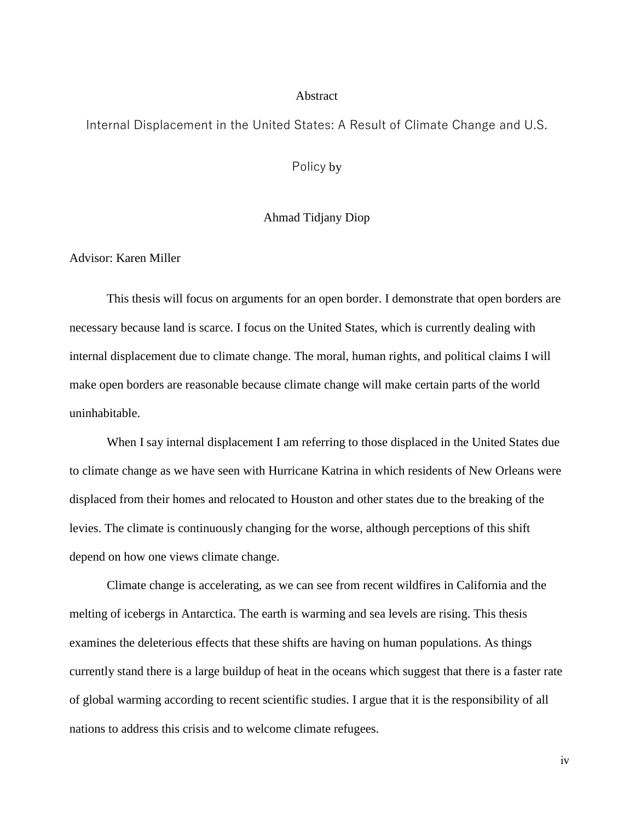#### **Abstract**

### Internal Displacement in the United States: A Result of Climate Change and U.S.

Policy by

#### Ahmad Tidjany Diop

Advisor: Karen Miller

This thesis will focus on arguments for an open border. I demonstrate that open borders are necessary because land is scarce. I focus on the United States, which is currently dealing with internal displacement due to climate change. The moral, human rights, and political claims I will make open borders are reasonable because climate change will make certain parts of the world uninhabitable.

When I say internal displacement I am referring to those displaced in the United States due to climate change as we have seen with Hurricane Katrina in which residents of New Orleans were displaced from their homes and relocated to Houston and other states due to the breaking of the levies. The climate is continuously changing for the worse, although perceptions of this shift depend on how one views climate change.

Climate change is accelerating, as we can see from recent wildfires in California and the melting of icebergs in Antarctica. The earth is warming and sea levels are rising. This thesis examines the deleterious effects that these shifts are having on human populations. As things currently stand there is a large buildup of heat in the oceans which suggest that there is a faster rate of global warming according to recent scientific studies. I argue that it is the responsibility of all nations to address this crisis and to welcome climate refugees.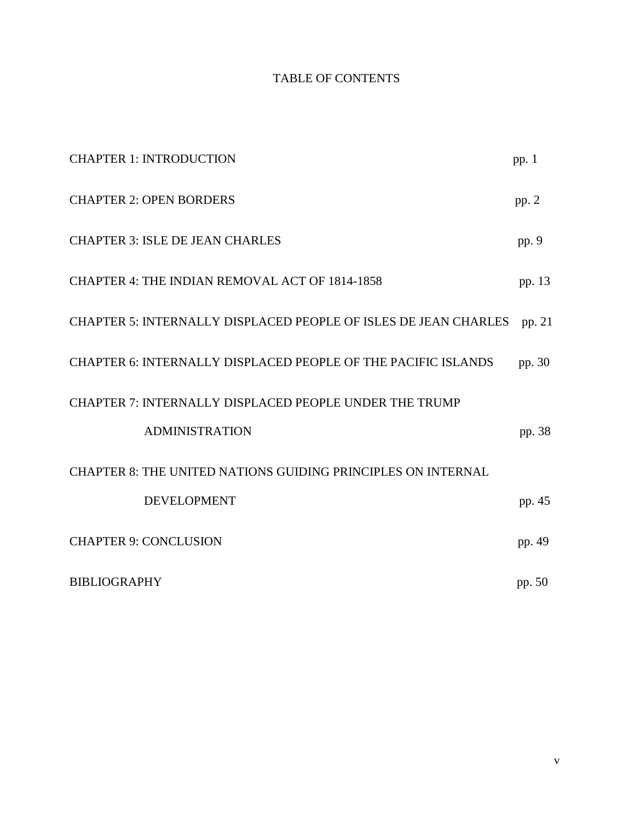## TABLE OF CONTENTS

| <b>CHAPTER 1: INTRODUCTION</b>                                  | pp. $1$ |
|-----------------------------------------------------------------|---------|
| <b>CHAPTER 2: OPEN BORDERS</b>                                  | pp. 2   |
| <b>CHAPTER 3: ISLE DE JEAN CHARLES</b>                          | pp. 9   |
| CHAPTER 4: THE INDIAN REMOVAL ACT OF 1814-1858                  | pp. 13  |
| CHAPTER 5: INTERNALLY DISPLACED PEOPLE OF ISLES DE JEAN CHARLES | pp. 21  |
| CHAPTER 6: INTERNALLY DISPLACED PEOPLE OF THE PACIFIC ISLANDS   | pp. 30  |
| CHAPTER 7: INTERNALLY DISPLACED PEOPLE UNDER THE TRUMP          |         |
| <b>ADMINISTRATION</b>                                           | pp. 38  |
| CHAPTER 8: THE UNITED NATIONS GUIDING PRINCIPLES ON INTERNAL    |         |
| <b>DEVELOPMENT</b>                                              | pp. 45  |
| <b>CHAPTER 9: CONCLUSION</b>                                    | pp. 49  |
| <b>BIBLIOGRAPHY</b>                                             | pp. 50  |

v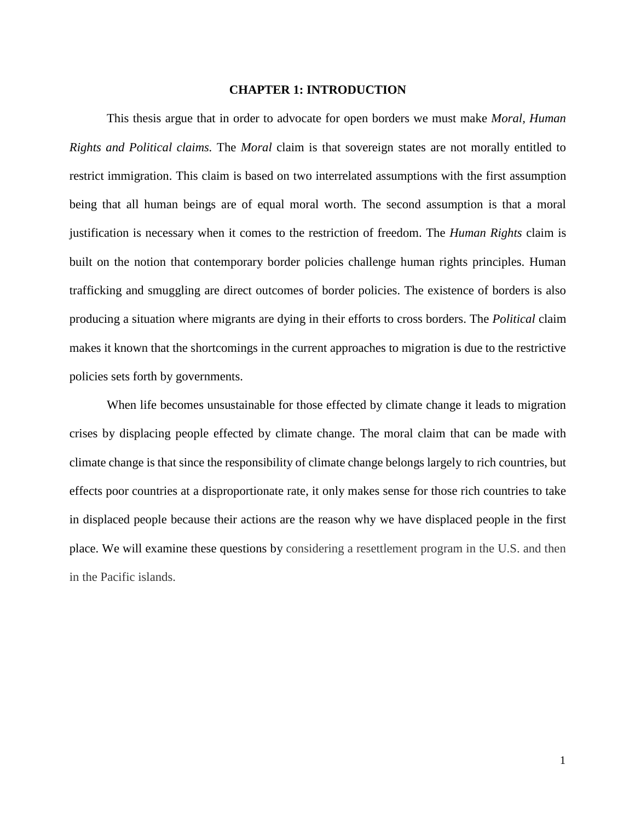#### **CHAPTER 1: INTRODUCTION**

This thesis argue that in order to advocate for open borders we must make *Moral, Human Rights and Political claims.* The *Moral* claim is that sovereign states are not morally entitled to restrict immigration. This claim is based on two interrelated assumptions with the first assumption being that all human beings are of equal moral worth. The second assumption is that a moral justification is necessary when it comes to the restriction of freedom. The *Human Rights* claim is built on the notion that contemporary border policies challenge human rights principles. Human trafficking and smuggling are direct outcomes of border policies. The existence of borders is also producing a situation where migrants are dying in their efforts to cross borders. The *Political* claim makes it known that the shortcomings in the current approaches to migration is due to the restrictive policies sets forth by governments.

When life becomes unsustainable for those effected by climate change it leads to migration crises by displacing people effected by climate change. The moral claim that can be made with climate change is that since the responsibility of climate change belongs largely to rich countries, but effects poor countries at a disproportionate rate, it only makes sense for those rich countries to take in displaced people because their actions are the reason why we have displaced people in the first place. We will examine these questions by considering a resettlement program in the U.S. and then in the Pacific islands.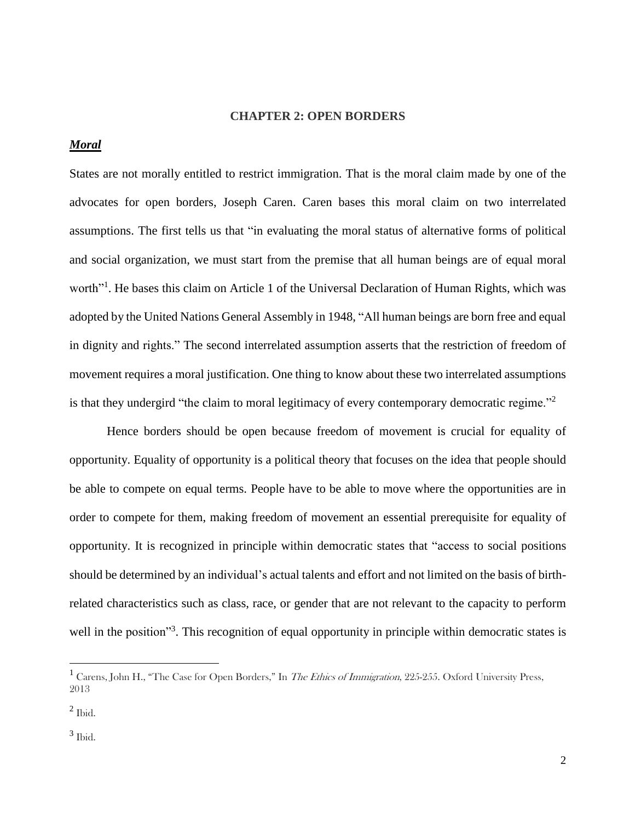#### **CHAPTER 2: OPEN BORDERS**

#### *Moral*

States are not morally entitled to restrict immigration. That is the moral claim made by one of the advocates for open borders, Joseph Caren. Caren bases this moral claim on two interrelated assumptions. The first tells us that "in evaluating the moral status of alternative forms of political and social organization, we must start from the premise that all human beings are of equal moral worth"<sup>1</sup>. He bases this claim on Article 1 of the Universal Declaration of Human Rights, which was adopted by the United Nations General Assembly in 1948, "All human beings are born free and equal in dignity and rights." The second interrelated assumption asserts that the restriction of freedom of movement requires a moral justification. One thing to know about these two interrelated assumptions is that they undergird "the claim to moral legitimacy of every contemporary democratic regime."<sup>2</sup>

Hence borders should be open because freedom of movement is crucial for equality of opportunity. Equality of opportunity is a political theory that focuses on the idea that people should be able to compete on equal terms. People have to be able to move where the opportunities are in order to compete for them, making freedom of movement an essential prerequisite for equality of opportunity. It is recognized in principle within democratic states that "access to social positions should be determined by an individual's actual talents and effort and not limited on the basis of birthrelated characteristics such as class, race, or gender that are not relevant to the capacity to perform well in the position"<sup>3</sup>. This recognition of equal opportunity in principle within democratic states is

<sup>&</sup>lt;sup>1</sup> Carens, John H., "The Case for Open Borders," In The Ethics of Immigration, 225-255. Oxford University Press, 2013

 $<sup>2</sup>$  Ibid.</sup>

<sup>3</sup> Ibid.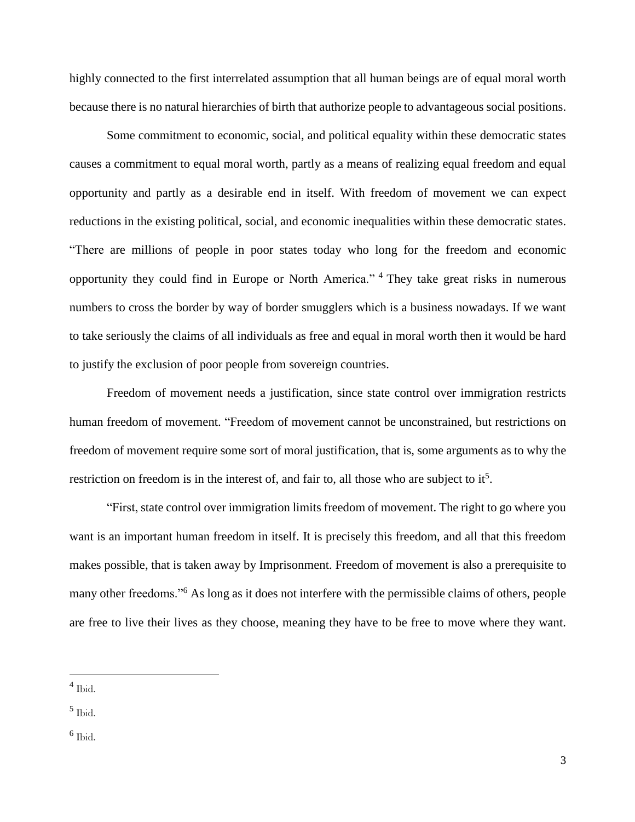highly connected to the first interrelated assumption that all human beings are of equal moral worth because there is no natural hierarchies of birth that authorize people to advantageous social positions.

Some commitment to economic, social, and political equality within these democratic states causes a commitment to equal moral worth, partly as a means of realizing equal freedom and equal opportunity and partly as a desirable end in itself. With freedom of movement we can expect reductions in the existing political, social, and economic inequalities within these democratic states. "There are millions of people in poor states today who long for the freedom and economic opportunity they could find in Europe or North America." <sup>4</sup> They take great risks in numerous numbers to cross the border by way of border smugglers which is a business nowadays. If we want to take seriously the claims of all individuals as free and equal in moral worth then it would be hard to justify the exclusion of poor people from sovereign countries.

Freedom of movement needs a justification, since state control over immigration restricts human freedom of movement. "Freedom of movement cannot be unconstrained, but restrictions on freedom of movement require some sort of moral justification, that is, some arguments as to why the restriction on freedom is in the interest of, and fair to, all those who are subject to it<sup>5</sup>.

"First, state control over immigration limits freedom of movement. The right to go where you want is an important human freedom in itself. It is precisely this freedom, and all that this freedom makes possible, that is taken away by Imprisonment. Freedom of movement is also a prerequisite to many other freedoms."<sup>6</sup> As long as it does not interfere with the permissible claims of others, people are free to live their lives as they choose, meaning they have to be free to move where they want.

<sup>4</sup> Ibid.

<sup>5</sup> Ibid.

<sup>6</sup> Ibid.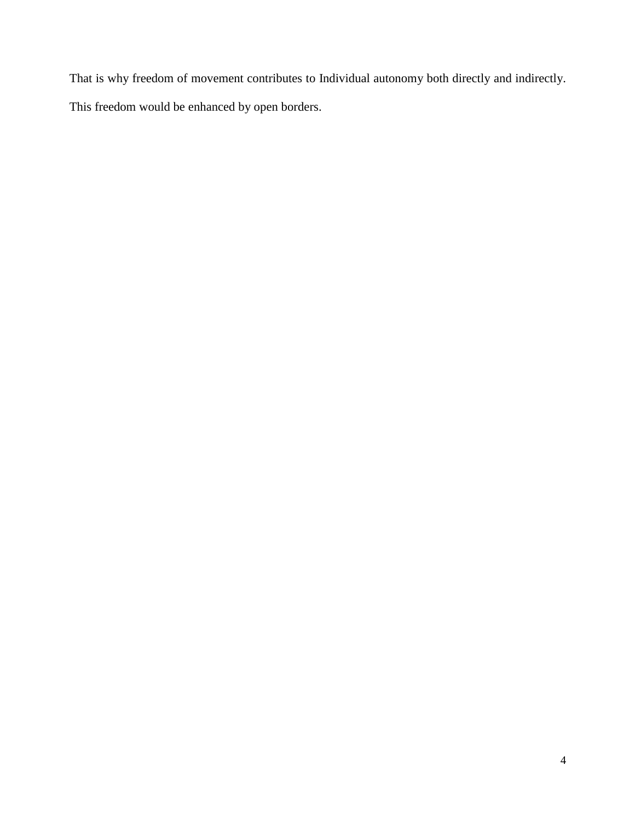That is why freedom of movement contributes to Individual autonomy both directly and indirectly. This freedom would be enhanced by open borders.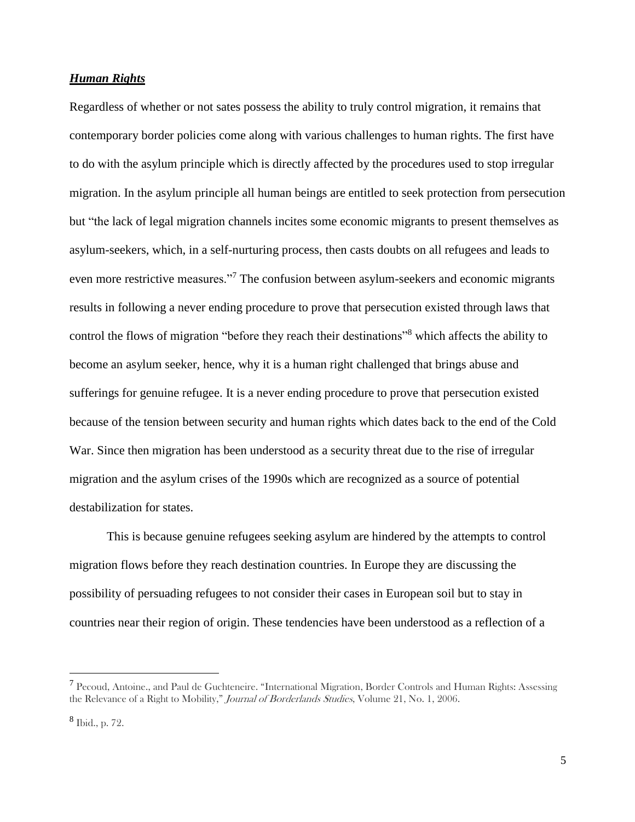#### *Human Rights*

Regardless of whether or not sates possess the ability to truly control migration, it remains that contemporary border policies come along with various challenges to human rights. The first have to do with the asylum principle which is directly affected by the procedures used to stop irregular migration. In the asylum principle all human beings are entitled to seek protection from persecution but "the lack of legal migration channels incites some economic migrants to present themselves as asylum-seekers, which, in a self-nurturing process, then casts doubts on all refugees and leads to even more restrictive measures."<sup>7</sup> The confusion between asylum-seekers and economic migrants results in following a never ending procedure to prove that persecution existed through laws that control the flows of migration "before they reach their destinations"<sup>8</sup> which affects the ability to become an asylum seeker, hence, why it is a human right challenged that brings abuse and sufferings for genuine refugee. It is a never ending procedure to prove that persecution existed because of the tension between security and human rights which dates back to the end of the Cold War. Since then migration has been understood as a security threat due to the rise of irregular migration and the asylum crises of the 1990s which are recognized as a source of potential destabilization for states.

This is because genuine refugees seeking asylum are hindered by the attempts to control migration flows before they reach destination countries. In Europe they are discussing the possibility of persuading refugees to not consider their cases in European soil but to stay in countries near their region of origin. These tendencies have been understood as a reflection of a

<sup>&</sup>lt;sup>7</sup> Pecoud, Antoine., and Paul de Guchteneire. "International Migration, Border Controls and Human Rights: Assessing the Relevance of a Right to Mobility," Journal of Borderlands Studies, Volume 21, No. 1, 2006.

<sup>8</sup> Ibid., p. 72.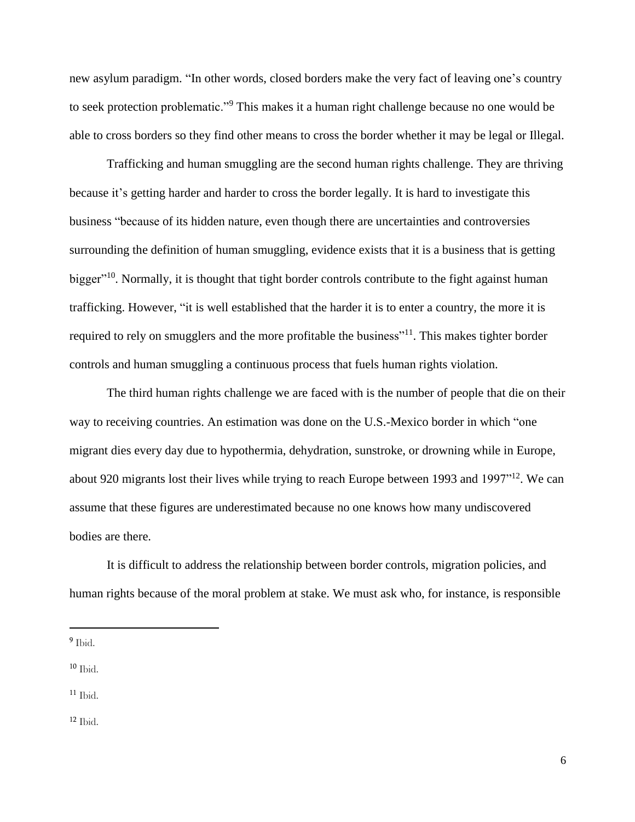new asylum paradigm. "In other words, closed borders make the very fact of leaving one's country to seek protection problematic."<sup>9</sup> This makes it a human right challenge because no one would be able to cross borders so they find other means to cross the border whether it may be legal or Illegal.

Trafficking and human smuggling are the second human rights challenge. They are thriving because it's getting harder and harder to cross the border legally. It is hard to investigate this business "because of its hidden nature, even though there are uncertainties and controversies surrounding the definition of human smuggling, evidence exists that it is a business that is getting bigger"<sup>10</sup>. Normally, it is thought that tight border controls contribute to the fight against human trafficking. However, "it is well established that the harder it is to enter a country, the more it is required to rely on smugglers and the more profitable the business"<sup>11</sup>. This makes tighter border controls and human smuggling a continuous process that fuels human rights violation.

The third human rights challenge we are faced with is the number of people that die on their way to receiving countries. An estimation was done on the U.S.-Mexico border in which "one migrant dies every day due to hypothermia, dehydration, sunstroke, or drowning while in Europe, about 920 migrants lost their lives while trying to reach Europe between 1993 and 1997"<sup>12</sup>. We can assume that these figures are underestimated because no one knows how many undiscovered bodies are there.

It is difficult to address the relationship between border controls, migration policies, and human rights because of the moral problem at stake. We must ask who, for instance, is responsible

 $\overline{a}$ 

 $10$  Ibid.

 $11$  Ibid.

<sup>&</sup>lt;sup>9</sup> Ibid.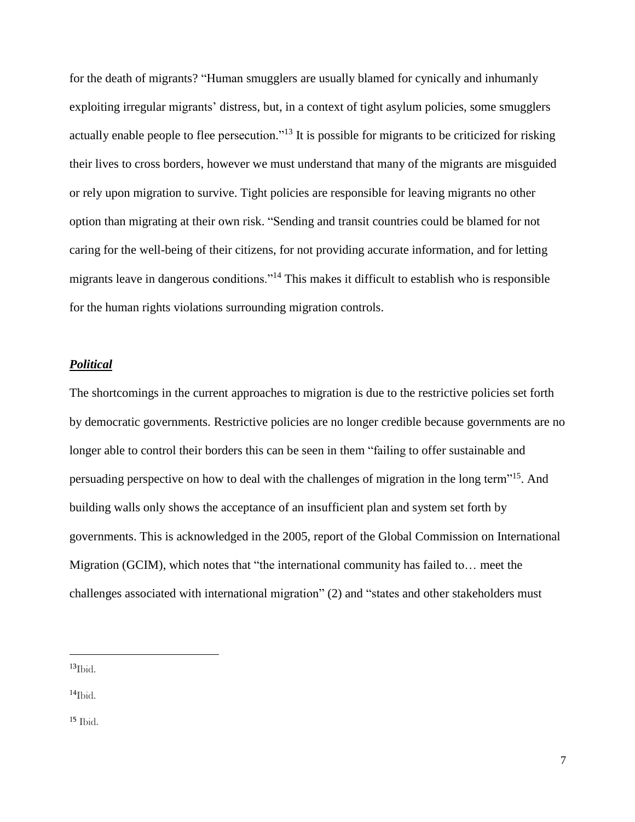for the death of migrants? "Human smugglers are usually blamed for cynically and inhumanly exploiting irregular migrants' distress, but, in a context of tight asylum policies, some smugglers actually enable people to flee persecution."<sup>13</sup> It is possible for migrants to be criticized for risking their lives to cross borders, however we must understand that many of the migrants are misguided or rely upon migration to survive. Tight policies are responsible for leaving migrants no other option than migrating at their own risk. "Sending and transit countries could be blamed for not caring for the well-being of their citizens, for not providing accurate information, and for letting migrants leave in dangerous conditions."<sup>14</sup> This makes it difficult to establish who is responsible for the human rights violations surrounding migration controls.

#### *Political*

The shortcomings in the current approaches to migration is due to the restrictive policies set forth by democratic governments. Restrictive policies are no longer credible because governments are no longer able to control their borders this can be seen in them "failing to offer sustainable and persuading perspective on how to deal with the challenges of migration in the long term"<sup>15</sup>. And building walls only shows the acceptance of an insufficient plan and system set forth by governments. This is acknowledged in the 2005, report of the Global Commission on International Migration (GCIM), which notes that "the international community has failed to… meet the challenges associated with international migration" (2) and "states and other stakeholders must

 $13$ Ibid.

 $\overline{a}$ 

 $^{14}$ Ibid.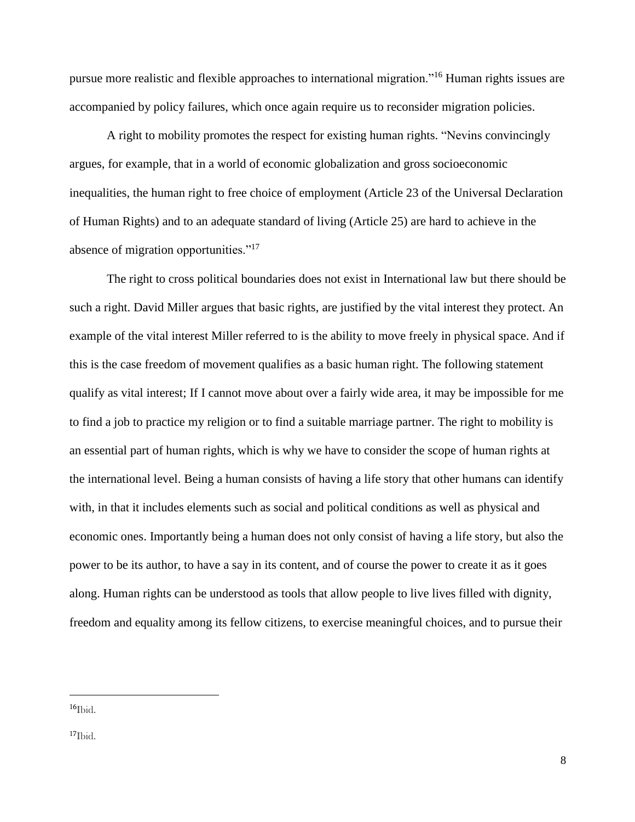pursue more realistic and flexible approaches to international migration."<sup>16</sup> Human rights issues are accompanied by policy failures, which once again require us to reconsider migration policies.

A right to mobility promotes the respect for existing human rights. "Nevins convincingly argues, for example, that in a world of economic globalization and gross socioeconomic inequalities, the human right to free choice of employment (Article 23 of the Universal Declaration of Human Rights) and to an adequate standard of living (Article 25) are hard to achieve in the absence of migration opportunities."<sup>17</sup>

The right to cross political boundaries does not exist in International law but there should be such a right. David Miller argues that basic rights, are justified by the vital interest they protect. An example of the vital interest Miller referred to is the ability to move freely in physical space. And if this is the case freedom of movement qualifies as a basic human right. The following statement qualify as vital interest; If I cannot move about over a fairly wide area, it may be impossible for me to find a job to practice my religion or to find a suitable marriage partner. The right to mobility is an essential part of human rights, which is why we have to consider the scope of human rights at the international level. Being a human consists of having a life story that other humans can identify with, in that it includes elements such as social and political conditions as well as physical and economic ones. Importantly being a human does not only consist of having a life story, but also the power to be its author, to have a say in its content, and of course the power to create it as it goes along. Human rights can be understood as tools that allow people to live lives filled with dignity, freedom and equality among its fellow citizens, to exercise meaningful choices, and to pursue their

 $^{16}$ Ibid.

 $\overline{a}$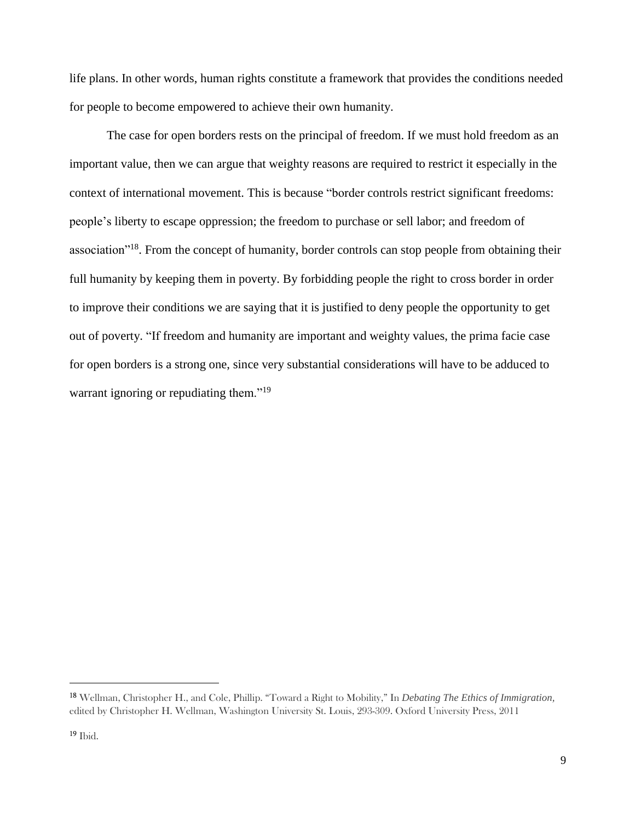life plans. In other words, human rights constitute a framework that provides the conditions needed for people to become empowered to achieve their own humanity.

The case for open borders rests on the principal of freedom. If we must hold freedom as an important value, then we can argue that weighty reasons are required to restrict it especially in the context of international movement. This is because "border controls restrict significant freedoms: people's liberty to escape oppression; the freedom to purchase or sell labor; and freedom of association"<sup>18</sup>. From the concept of humanity, border controls can stop people from obtaining their full humanity by keeping them in poverty. By forbidding people the right to cross border in order to improve their conditions we are saying that it is justified to deny people the opportunity to get out of poverty. "If freedom and humanity are important and weighty values, the prima facie case for open borders is a strong one, since very substantial considerations will have to be adduced to warrant ignoring or repudiating them."<sup>19</sup>

<sup>18</sup> Wellman, Christopher H., and Cole, Phillip. "Toward a Right to Mobility," In *Debating The Ethics of Immigration,* edited by Christopher H. Wellman, Washington University St. Louis, 293-309. Oxford University Press, 2011

<sup>19</sup> Ibid.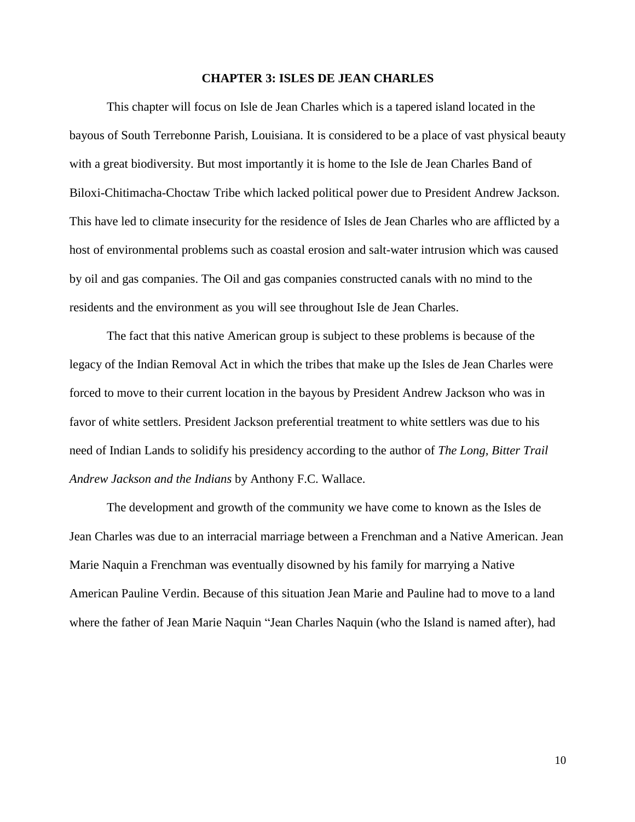#### **CHAPTER 3: ISLES DE JEAN CHARLES**

This chapter will focus on Isle de Jean Charles which is a tapered island located in the bayous of South Terrebonne Parish, Louisiana. It is considered to be a place of vast physical beauty with a great biodiversity. But most importantly it is home to the Isle de Jean Charles Band of Biloxi-Chitimacha-Choctaw Tribe which lacked political power due to President Andrew Jackson. This have led to climate insecurity for the residence of Isles de Jean Charles who are afflicted by a host of environmental problems such as coastal erosion and salt-water intrusion which was caused by oil and gas companies. The Oil and gas companies constructed canals with no mind to the residents and the environment as you will see throughout Isle de Jean Charles.

The fact that this native American group is subject to these problems is because of the legacy of the Indian Removal Act in which the tribes that make up the Isles de Jean Charles were forced to move to their current location in the bayous by President Andrew Jackson who was in favor of white settlers. President Jackson preferential treatment to white settlers was due to his need of Indian Lands to solidify his presidency according to the author of *The Long, Bitter Trail Andrew Jackson and the Indians* by Anthony F.C. Wallace.

The development and growth of the community we have come to known as the Isles de Jean Charles was due to an interracial marriage between a Frenchman and a Native American. Jean Marie Naquin a Frenchman was eventually disowned by his family for marrying a Native American Pauline Verdin. Because of this situation Jean Marie and Pauline had to move to a land where the father of Jean Marie Naquin "Jean Charles Naquin (who the Island is named after), had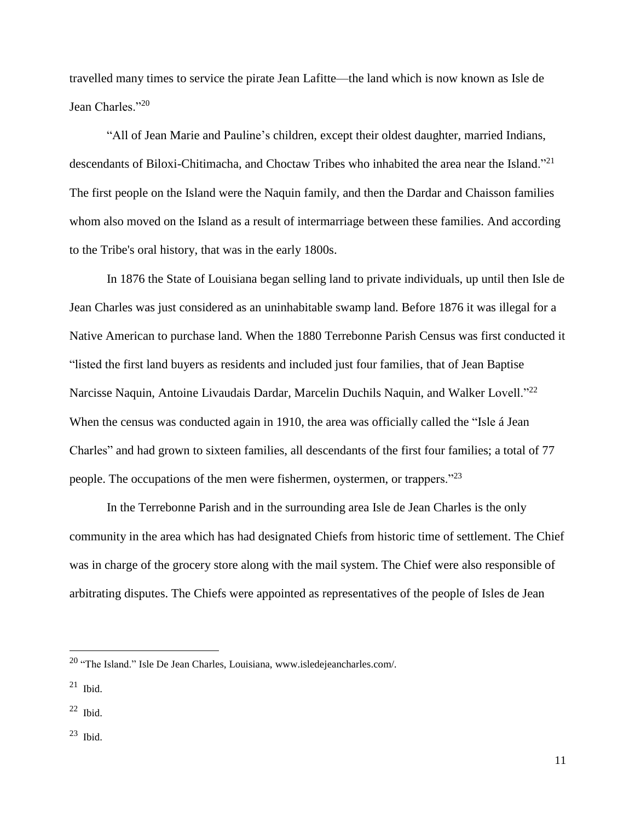travelled many times to service the pirate Jean Lafitte—the land which is now known as Isle de Jean Charles."<sup>20</sup>

"All of Jean Marie and Pauline's children, except their oldest daughter, married Indians, descendants of Biloxi-Chitimacha, and Choctaw Tribes who inhabited the area near the Island."<sup>21</sup> The first people on the Island were the Naquin family, and then the Dardar and Chaisson families whom also moved on the Island as a result of intermarriage between these families. And according to the Tribe's oral history, that was in the early 1800s.

In 1876 the State of Louisiana began selling land to private individuals, up until then Isle de Jean Charles was just considered as an uninhabitable swamp land. Before 1876 it was illegal for a Native American to purchase land. When the 1880 Terrebonne Parish Census was first conducted it "listed the first land buyers as residents and included just four families, that of Jean Baptise Narcisse Naquin, Antoine Livaudais Dardar, Marcelin Duchils Naquin, and Walker Lovell."<sup>22</sup> When the census was conducted again in 1910, the area was officially called the "Isle á Jean Charles" and had grown to sixteen families, all descendants of the first four families; a total of 77 people. The occupations of the men were fishermen, oystermen, or trappers."<sup>23</sup>

In the Terrebonne Parish and in the surrounding area Isle de Jean Charles is the only community in the area which has had designated Chiefs from historic time of settlement. The Chief was in charge of the grocery store along with the mail system. The Chief were also responsible of arbitrating disputes. The Chiefs were appointed as representatives of the people of Isles de Jean

- $22$  Ibid.
- <sup>23</sup> Ibid.

<sup>20</sup> "The Island." Isle De Jean Charles, Louisiana, www.isledejeancharles.com/.

 $21$  Ibid.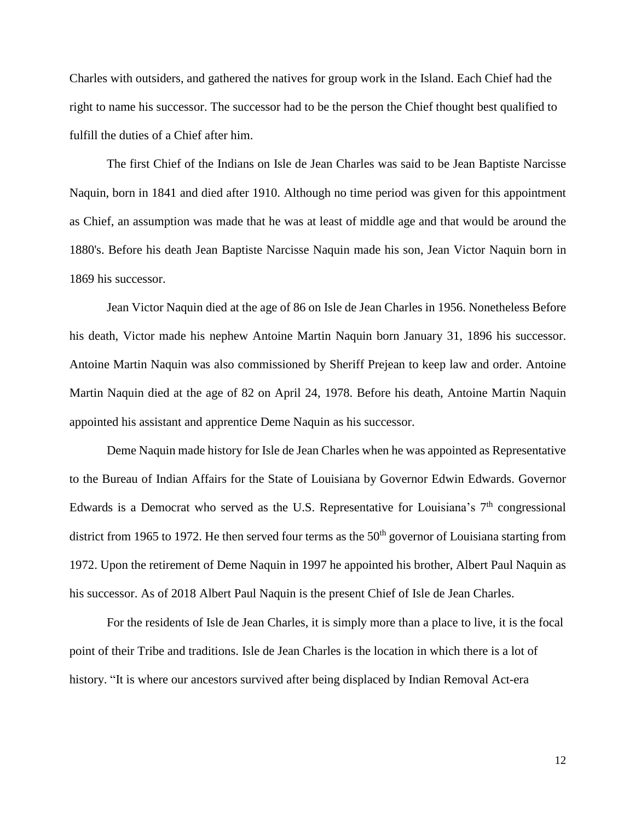Charles with outsiders, and gathered the natives for group work in the Island. Each Chief had the right to name his successor. The successor had to be the person the Chief thought best qualified to fulfill the duties of a Chief after him.

The first Chief of the Indians on Isle de Jean Charles was said to be Jean Baptiste Narcisse Naquin, born in 1841 and died after 1910. Although no time period was given for this appointment as Chief, an assumption was made that he was at least of middle age and that would be around the 1880's. Before his death Jean Baptiste Narcisse Naquin made his son, Jean Victor Naquin born in 1869 his successor.

Jean Victor Naquin died at the age of 86 on Isle de Jean Charles in 1956. Nonetheless Before his death, Victor made his nephew Antoine Martin Naquin born January 31, 1896 his successor. Antoine Martin Naquin was also commissioned by Sheriff Prejean to keep law and order. Antoine Martin Naquin died at the age of 82 on April 24, 1978. Before his death, Antoine Martin Naquin appointed his assistant and apprentice Deme Naquin as his successor.

Deme Naquin made history for Isle de Jean Charles when he was appointed as Representative to the Bureau of Indian Affairs for the State of Louisiana by Governor Edwin Edwards. Governor Edwards is a Democrat who served as the U.S. Representative for Louisiana's  $7<sup>th</sup>$  congressional district from 1965 to 1972. He then served four terms as the  $50<sup>th</sup>$  governor of Louisiana starting from 1972. Upon the retirement of Deme Naquin in 1997 he appointed his brother, Albert Paul Naquin as his successor. As of 2018 Albert Paul Naquin is the present Chief of Isle de Jean Charles.

For the residents of Isle de Jean Charles, it is simply more than a place to live, it is the focal point of their Tribe and traditions. Isle de Jean Charles is the location in which there is a lot of history. "It is where our ancestors survived after being displaced by Indian Removal Act-era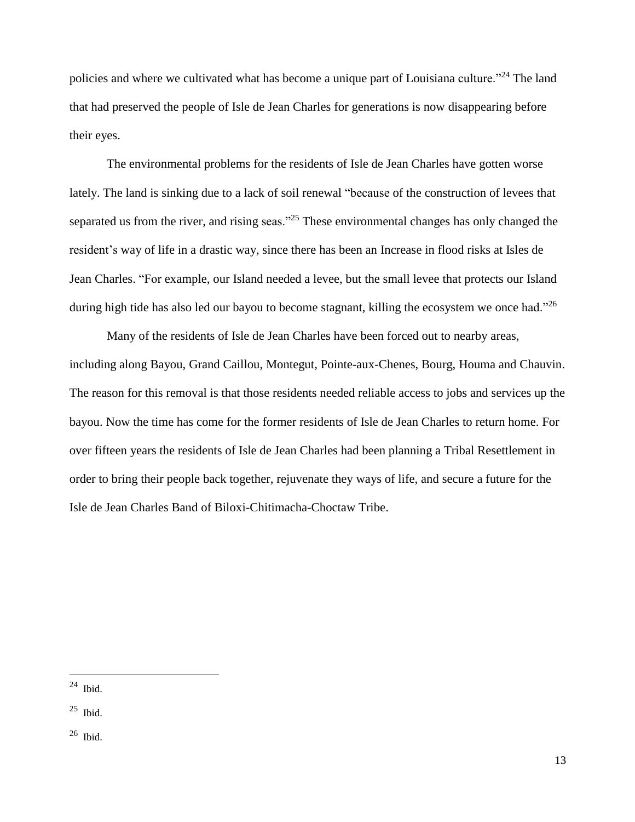policies and where we cultivated what has become a unique part of Louisiana culture."<sup>24</sup> The land that had preserved the people of Isle de Jean Charles for generations is now disappearing before their eyes.

The environmental problems for the residents of Isle de Jean Charles have gotten worse lately. The land is sinking due to a lack of soil renewal "because of the construction of levees that separated us from the river, and rising seas."<sup>25</sup> These environmental changes has only changed the resident's way of life in a drastic way, since there has been an Increase in flood risks at Isles de Jean Charles. "For example, our Island needed a levee, but the small levee that protects our Island during high tide has also led our bayou to become stagnant, killing the ecosystem we once had."<sup>26</sup>

Many of the residents of Isle de Jean Charles have been forced out to nearby areas, including along Bayou, Grand Caillou, Montegut, Pointe-aux-Chenes, Bourg, Houma and Chauvin. The reason for this removal is that those residents needed reliable access to jobs and services up the bayou. Now the time has come for the former residents of Isle de Jean Charles to return home. For over fifteen years the residents of Isle de Jean Charles had been planning a Tribal Resettlement in order to bring their people back together, rejuvenate they ways of life, and secure a future for the Isle de Jean Charles Band of Biloxi-Chitimacha-Choctaw Tribe.

 $^{24}$  Ibid.

 $\overline{a}$ 

<sup>25</sup> Ibid.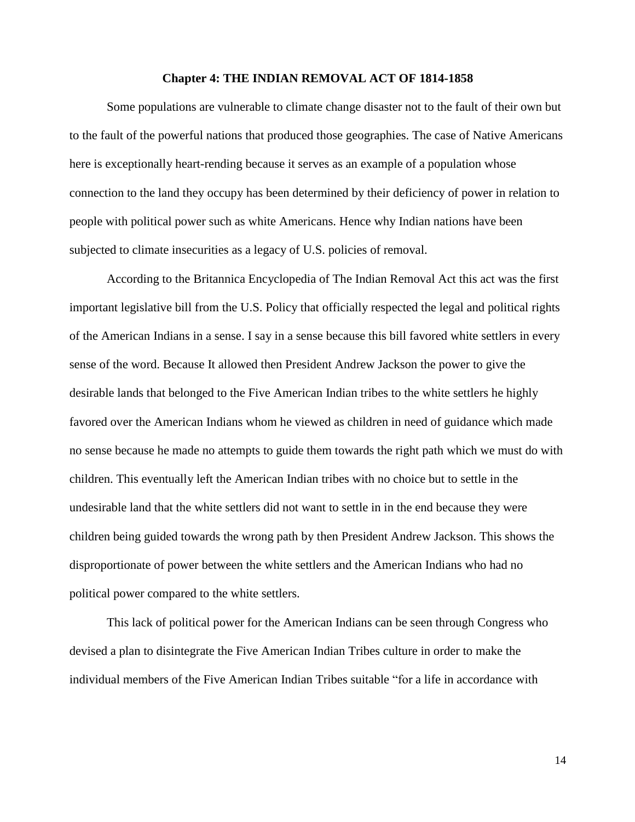#### **Chapter 4: THE INDIAN REMOVAL ACT OF 1814-1858**

Some populations are vulnerable to climate change disaster not to the fault of their own but to the fault of the powerful nations that produced those geographies. The case of Native Americans here is exceptionally heart-rending because it serves as an example of a population whose connection to the land they occupy has been determined by their deficiency of power in relation to people with political power such as white Americans. Hence why Indian nations have been subjected to climate insecurities as a legacy of U.S. policies of removal.

According to the Britannica Encyclopedia of The Indian Removal Act this act was the first important legislative bill from the U.S. Policy that officially respected the legal and political rights of the American Indians in a sense. I say in a sense because this bill favored white settlers in every sense of the word. Because It allowed then President Andrew Jackson the power to give the desirable lands that belonged to the Five American Indian tribes to the white settlers he highly favored over the American Indians whom he viewed as children in need of guidance which made no sense because he made no attempts to guide them towards the right path which we must do with children. This eventually left the American Indian tribes with no choice but to settle in the undesirable land that the white settlers did not want to settle in in the end because they were children being guided towards the wrong path by then President Andrew Jackson. This shows the disproportionate of power between the white settlers and the American Indians who had no political power compared to the white settlers.

This lack of political power for the American Indians can be seen through Congress who devised a plan to disintegrate the Five American Indian Tribes culture in order to make the individual members of the Five American Indian Tribes suitable "for a life in accordance with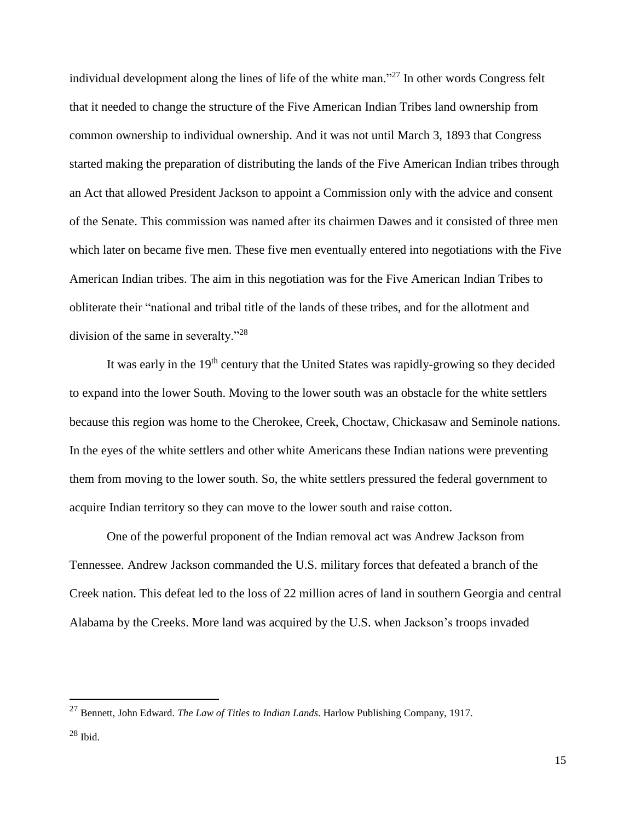individual development along the lines of life of the white man."<sup>27</sup> In other words Congress felt that it needed to change the structure of the Five American Indian Tribes land ownership from common ownership to individual ownership. And it was not until March 3, 1893 that Congress started making the preparation of distributing the lands of the Five American Indian tribes through an Act that allowed President Jackson to appoint a Commission only with the advice and consent of the Senate. This commission was named after its chairmen Dawes and it consisted of three men which later on became five men. These five men eventually entered into negotiations with the Five American Indian tribes. The aim in this negotiation was for the Five American Indian Tribes to obliterate their "national and tribal title of the lands of these tribes, and for the allotment and division of the same in severalty."<sup>28</sup>

It was early in the 19<sup>th</sup> century that the United States was rapidly-growing so they decided to expand into the lower South. Moving to the lower south was an obstacle for the white settlers because this region was home to the Cherokee, Creek, Choctaw, Chickasaw and Seminole nations. In the eyes of the white settlers and other white Americans these Indian nations were preventing them from moving to the lower south. So, the white settlers pressured the federal government to acquire Indian territory so they can move to the lower south and raise cotton.

One of the powerful proponent of the Indian removal act was Andrew Jackson from Tennessee. Andrew Jackson commanded the U.S. military forces that defeated a branch of the Creek nation. This defeat led to the loss of 22 million acres of land in southern Georgia and central Alabama by the Creeks. More land was acquired by the U.S. when Jackson's troops invaded

<sup>27</sup> Bennett, John Edward. *The Law of Titles to Indian Lands*. Harlow Publishing Company, 1917.

 $^{28}$  Ibid.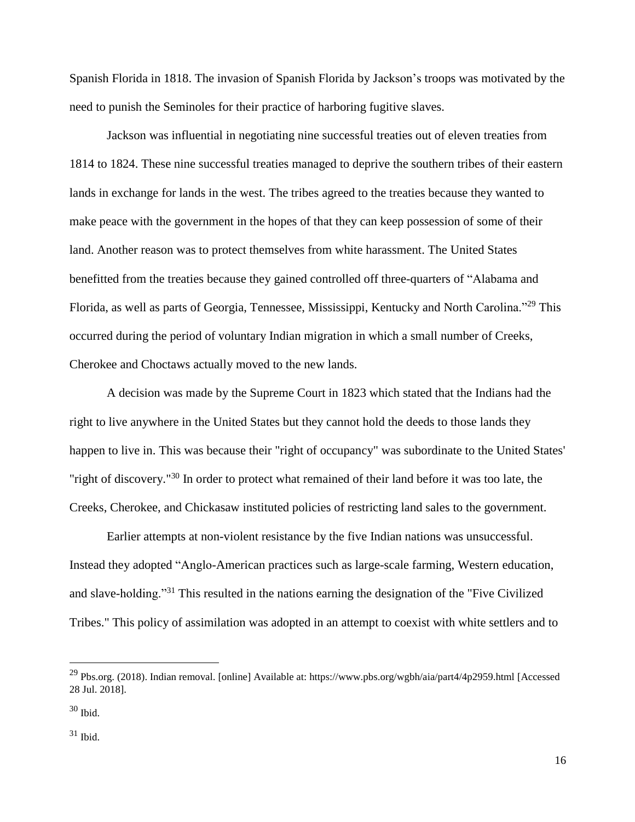Spanish Florida in 1818. The invasion of Spanish Florida by Jackson's troops was motivated by the need to punish the Seminoles for their practice of harboring fugitive slaves.

Jackson was influential in negotiating nine successful treaties out of eleven treaties from 1814 to 1824. These nine successful treaties managed to deprive the southern tribes of their eastern lands in exchange for lands in the west. The tribes agreed to the treaties because they wanted to make peace with the government in the hopes of that they can keep possession of some of their land. Another reason was to protect themselves from white harassment. The United States benefitted from the treaties because they gained controlled off three-quarters of "Alabama and Florida, as well as parts of Georgia, Tennessee, Mississippi, Kentucky and North Carolina."<sup>29</sup> This occurred during the period of voluntary Indian migration in which a small number of Creeks, Cherokee and Choctaws actually moved to the new lands.

A decision was made by the Supreme Court in 1823 which stated that the Indians had the right to live anywhere in the United States but they cannot hold the deeds to those lands they happen to live in. This was because their "right of occupancy" was subordinate to the United States' "right of discovery."<sup>30</sup> In order to protect what remained of their land before it was too late, the Creeks, Cherokee, and Chickasaw instituted policies of restricting land sales to the government.

Earlier attempts at non-violent resistance by the five Indian nations was unsuccessful. Instead they adopted "Anglo-American practices such as large-scale farming, Western education, and slave-holding."<sup>31</sup> This resulted in the nations earning the designation of the "Five Civilized Tribes." This policy of assimilation was adopted in an attempt to coexist with white settlers and to

<sup>29</sup> Pbs.org. (2018). Indian removal. [online] Available at: https://www.pbs.org/wgbh/aia/part4/4p2959.html [Accessed 28 Jul. 2018].

 $30$  Ibid.

 $31$  Ibid.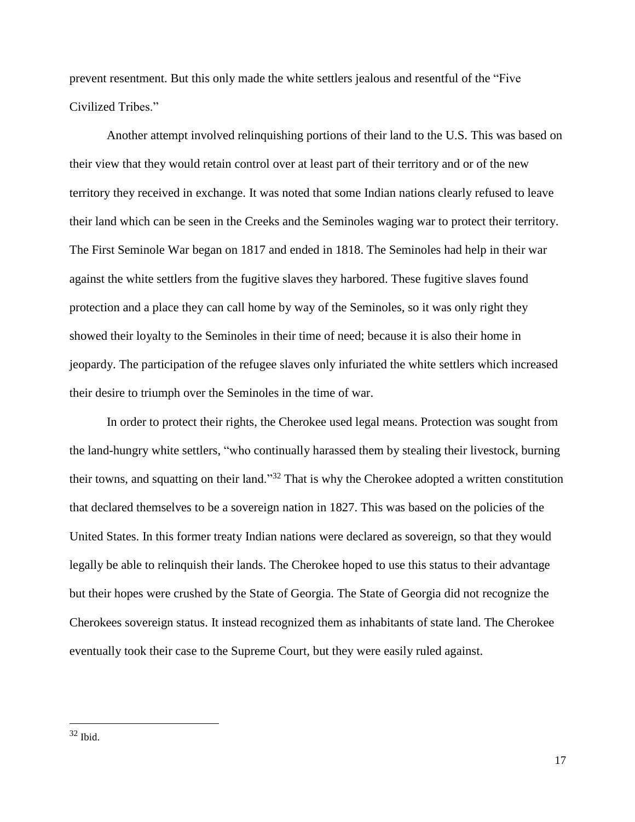prevent resentment. But this only made the white settlers jealous and resentful of the "Five Civilized Tribes."

Another attempt involved relinquishing portions of their land to the U.S. This was based on their view that they would retain control over at least part of their territory and or of the new territory they received in exchange. It was noted that some Indian nations clearly refused to leave their land which can be seen in the Creeks and the Seminoles waging war to protect their territory. The First Seminole War began on 1817 and ended in 1818. The Seminoles had help in their war against the white settlers from the fugitive slaves they harbored. These fugitive slaves found protection and a place they can call home by way of the Seminoles, so it was only right they showed their loyalty to the Seminoles in their time of need; because it is also their home in jeopardy. The participation of the refugee slaves only infuriated the white settlers which increased their desire to triumph over the Seminoles in the time of war.

In order to protect their rights, the Cherokee used legal means. Protection was sought from the land-hungry white settlers, "who continually harassed them by stealing their livestock, burning their towns, and squatting on their land."<sup>32</sup> That is why the Cherokee adopted a written constitution that declared themselves to be a sovereign nation in 1827. This was based on the policies of the United States. In this former treaty Indian nations were declared as sovereign, so that they would legally be able to relinquish their lands. The Cherokee hoped to use this status to their advantage but their hopes were crushed by the State of Georgia. The State of Georgia did not recognize the Cherokees sovereign status. It instead recognized them as inhabitants of state land. The Cherokee eventually took their case to the Supreme Court, but they were easily ruled against.

 $32$  Ibid.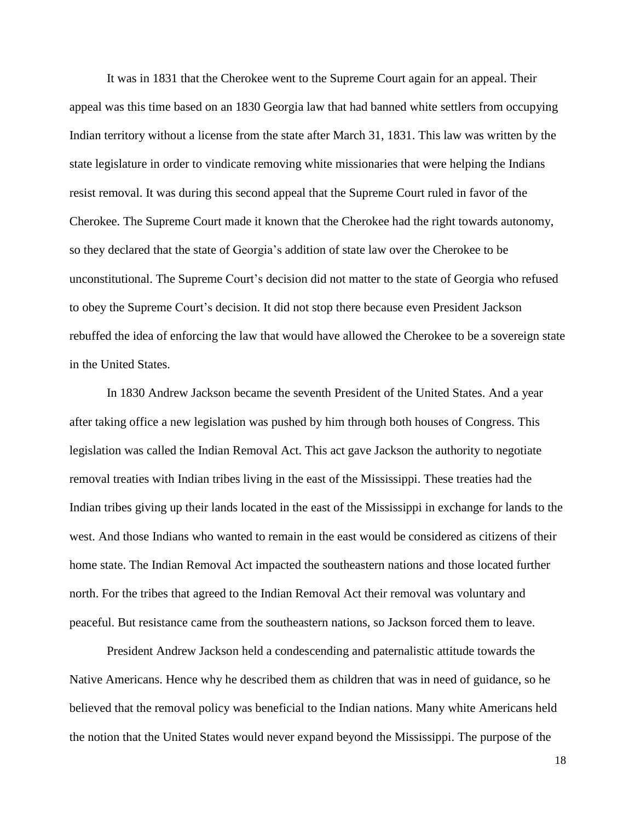It was in 1831 that the Cherokee went to the Supreme Court again for an appeal. Their appeal was this time based on an 1830 Georgia law that had banned white settlers from occupying Indian territory without a license from the state after March 31, 1831. This law was written by the state legislature in order to vindicate removing white missionaries that were helping the Indians resist removal. It was during this second appeal that the Supreme Court ruled in favor of the Cherokee. The Supreme Court made it known that the Cherokee had the right towards autonomy, so they declared that the state of Georgia's addition of state law over the Cherokee to be unconstitutional. The Supreme Court's decision did not matter to the state of Georgia who refused to obey the Supreme Court's decision. It did not stop there because even President Jackson rebuffed the idea of enforcing the law that would have allowed the Cherokee to be a sovereign state in the United States.

In 1830 Andrew Jackson became the seventh President of the United States. And a year after taking office a new legislation was pushed by him through both houses of Congress. This legislation was called the Indian Removal Act. This act gave Jackson the authority to negotiate removal treaties with Indian tribes living in the east of the Mississippi. These treaties had the Indian tribes giving up their lands located in the east of the Mississippi in exchange for lands to the west. And those Indians who wanted to remain in the east would be considered as citizens of their home state. The Indian Removal Act impacted the southeastern nations and those located further north. For the tribes that agreed to the Indian Removal Act their removal was voluntary and peaceful. But resistance came from the southeastern nations, so Jackson forced them to leave.

President Andrew Jackson held a condescending and paternalistic attitude towards the Native Americans. Hence why he described them as children that was in need of guidance, so he believed that the removal policy was beneficial to the Indian nations. Many white Americans held the notion that the United States would never expand beyond the Mississippi. The purpose of the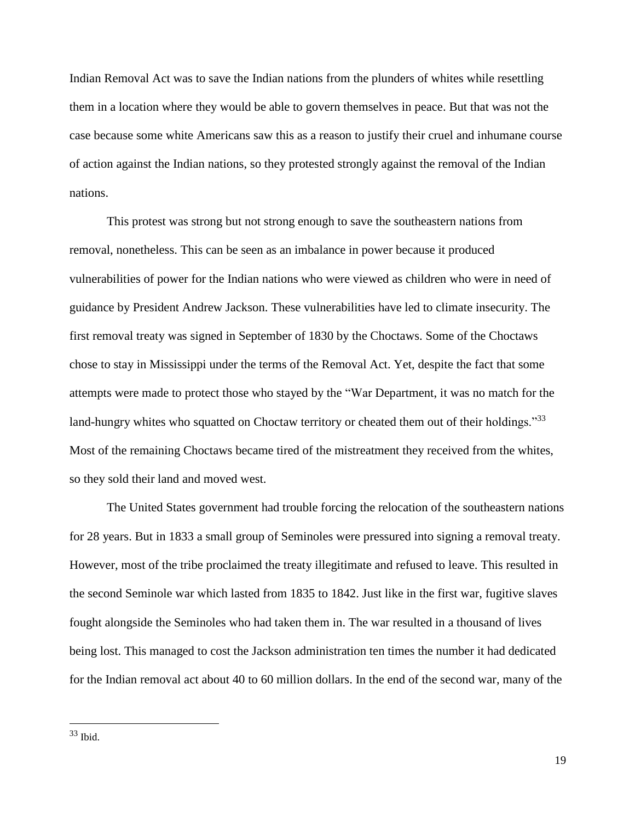Indian Removal Act was to save the Indian nations from the plunders of whites while resettling them in a location where they would be able to govern themselves in peace. But that was not the case because some white Americans saw this as a reason to justify their cruel and inhumane course of action against the Indian nations, so they protested strongly against the removal of the Indian nations.

This protest was strong but not strong enough to save the southeastern nations from removal, nonetheless. This can be seen as an imbalance in power because it produced vulnerabilities of power for the Indian nations who were viewed as children who were in need of guidance by President Andrew Jackson. These vulnerabilities have led to climate insecurity. The first removal treaty was signed in September of 1830 by the Choctaws. Some of the Choctaws chose to stay in Mississippi under the terms of the Removal Act. Yet, despite the fact that some attempts were made to protect those who stayed by the "War Department, it was no match for the land-hungry whites who squatted on Choctaw territory or cheated them out of their holdings."33 Most of the remaining Choctaws became tired of the mistreatment they received from the whites, so they sold their land and moved west.

The United States government had trouble forcing the relocation of the southeastern nations for 28 years. But in 1833 a small group of Seminoles were pressured into signing a removal treaty. However, most of the tribe proclaimed the treaty illegitimate and refused to leave. This resulted in the second Seminole war which lasted from 1835 to 1842. Just like in the first war, fugitive slaves fought alongside the Seminoles who had taken them in. The war resulted in a thousand of lives being lost. This managed to cost the Jackson administration ten times the number it had dedicated for the Indian removal act about 40 to 60 million dollars. In the end of the second war, many of the

 $33$  Ibid.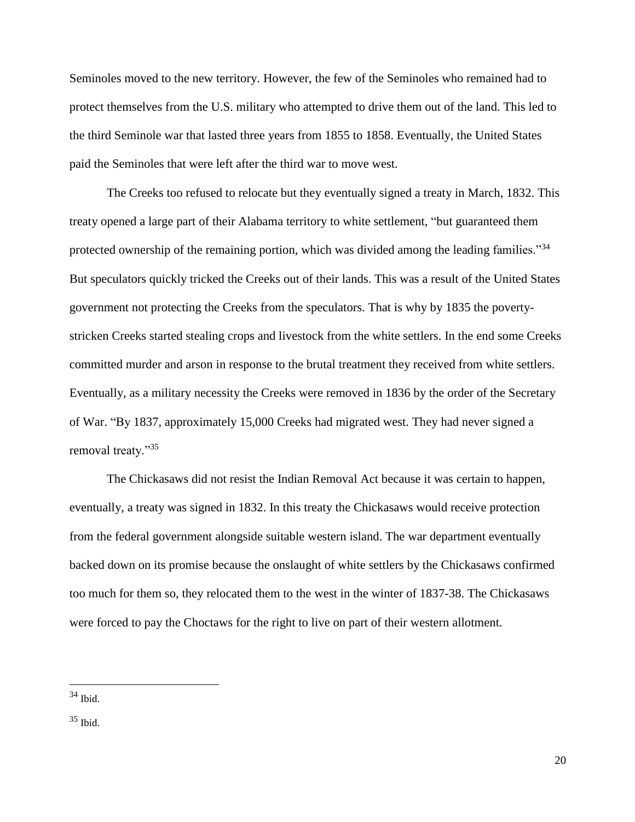Seminoles moved to the new territory. However, the few of the Seminoles who remained had to protect themselves from the U.S. military who attempted to drive them out of the land. This led to the third Seminole war that lasted three years from 1855 to 1858. Eventually, the United States paid the Seminoles that were left after the third war to move west.

The Creeks too refused to relocate but they eventually signed a treaty in March, 1832. This treaty opened a large part of their Alabama territory to white settlement, "but guaranteed them protected ownership of the remaining portion, which was divided among the leading families."<sup>34</sup> But speculators quickly tricked the Creeks out of their lands. This was a result of the United States government not protecting the Creeks from the speculators. That is why by 1835 the povertystricken Creeks started stealing crops and livestock from the white settlers. In the end some Creeks committed murder and arson in response to the brutal treatment they received from white settlers. Eventually, as a military necessity the Creeks were removed in 1836 by the order of the Secretary of War. "By 1837, approximately 15,000 Creeks had migrated west. They had never signed a removal treaty."<sup>35</sup>

The Chickasaws did not resist the Indian Removal Act because it was certain to happen, eventually, a treaty was signed in 1832. In this treaty the Chickasaws would receive protection from the federal government alongside suitable western island. The war department eventually backed down on its promise because the onslaught of white settlers by the Chickasaws confirmed too much for them so, they relocated them to the west in the winter of 1837-38. The Chickasaws were forced to pay the Choctaws for the right to live on part of their western allotment.

 $34$  Ibid.

 $35$  Ibid.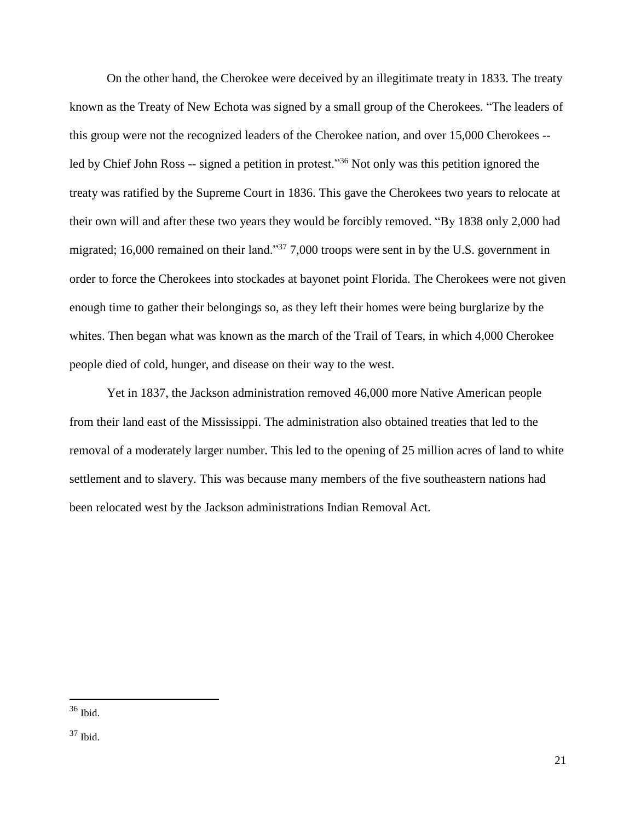On the other hand, the Cherokee were deceived by an illegitimate treaty in 1833. The treaty known as the Treaty of New Echota was signed by a small group of the Cherokees. "The leaders of this group were not the recognized leaders of the Cherokee nation, and over 15,000 Cherokees - led by Chief John Ross -- signed a petition in protest."<sup>36</sup> Not only was this petition ignored the treaty was ratified by the Supreme Court in 1836. This gave the Cherokees two years to relocate at their own will and after these two years they would be forcibly removed. "By 1838 only 2,000 had migrated; 16,000 remained on their land."<sup>37</sup> 7,000 troops were sent in by the U.S. government in order to force the Cherokees into stockades at bayonet point Florida. The Cherokees were not given enough time to gather their belongings so, as they left their homes were being burglarize by the whites. Then began what was known as the march of the Trail of Tears, in which 4,000 Cherokee people died of cold, hunger, and disease on their way to the west.

Yet in 1837, the Jackson administration removed 46,000 more Native American people from their land east of the Mississippi. The administration also obtained treaties that led to the removal of a moderately larger number. This led to the opening of 25 million acres of land to white settlement and to slavery. This was because many members of the five southeastern nations had been relocated west by the Jackson administrations Indian Removal Act.

 $36$  Ibid.

<sup>37</sup> Ibid.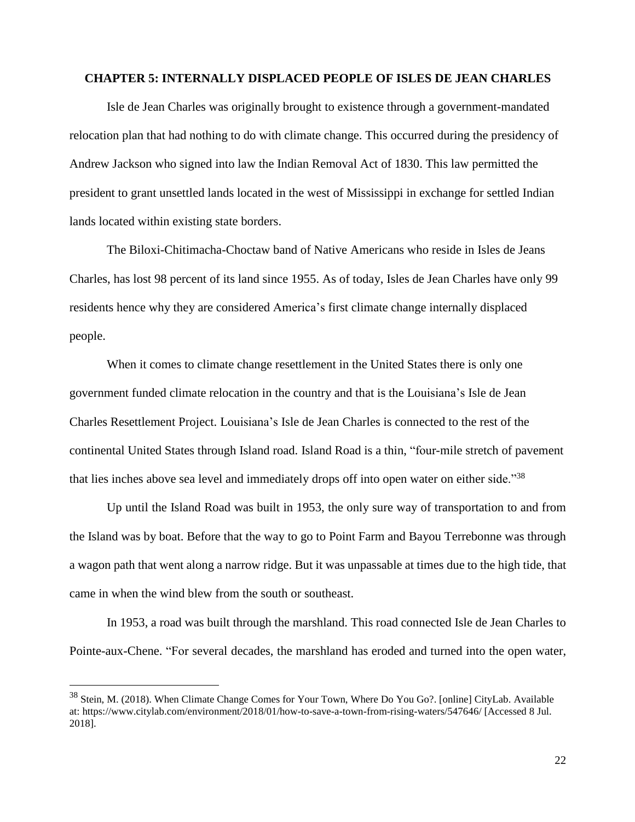#### **CHAPTER 5: INTERNALLY DISPLACED PEOPLE OF ISLES DE JEAN CHARLES**

Isle de Jean Charles was originally brought to existence through a government-mandated relocation plan that had nothing to do with climate change. This occurred during the presidency of Andrew Jackson who signed into law the Indian Removal Act of 1830. This law permitted the president to grant unsettled lands located in the west of Mississippi in exchange for settled Indian lands located within existing state borders.

The Biloxi-Chitimacha-Choctaw band of Native Americans who reside in Isles de Jeans Charles, has lost 98 percent of its land since 1955. As of today, Isles de Jean Charles have only 99 residents hence why they are considered America's first climate change internally displaced people.

When it comes to climate change resettlement in the United States there is only one government funded climate relocation in the country and that is the Louisiana's Isle de Jean Charles Resettlement Project. Louisiana's Isle de Jean Charles is connected to the rest of the continental United States through Island road. Island Road is a thin, "four-mile stretch of pavement that lies inches above sea level and immediately drops off into open water on either side."<sup>38</sup>

Up until the Island Road was built in 1953, the only sure way of transportation to and from the Island was by boat. Before that the way to go to Point Farm and Bayou Terrebonne was through a wagon path that went along a narrow ridge. But it was unpassable at times due to the high tide, that came in when the wind blew from the south or southeast.

In 1953, a road was built through the marshland. This road connected Isle de Jean Charles to Pointe-aux-Chene. "For several decades, the marshland has eroded and turned into the open water,

<sup>38</sup> Stein, M. (2018). When Climate Change Comes for Your Town, Where Do You Go?. [online] CityLab. Available at: https://www.citylab.com/environment/2018/01/how-to-save-a-town-from-rising-waters/547646/ [Accessed 8 Jul. 2018].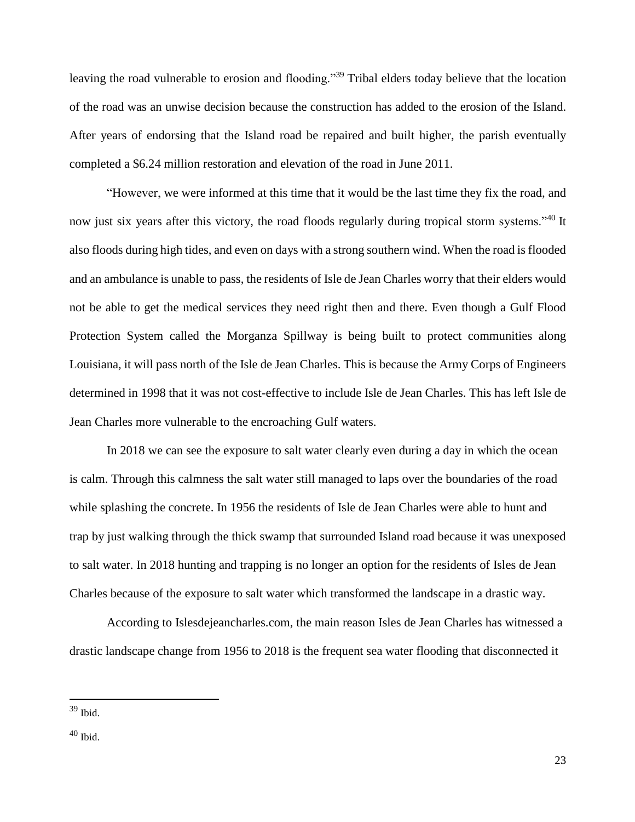leaving the road vulnerable to erosion and flooding."<sup>39</sup> Tribal elders today believe that the location of the road was an unwise decision because the construction has added to the erosion of the Island. After years of endorsing that the Island road be repaired and built higher, the parish eventually completed a \$6.24 million restoration and elevation of the road in June 2011.

"However, we were informed at this time that it would be the last time they fix the road, and now just six years after this victory, the road floods regularly during tropical storm systems."<sup>40</sup> It also floods during high tides, and even on days with a strong southern wind. When the road is flooded and an ambulance is unable to pass, the residents of Isle de Jean Charles worry that their elders would not be able to get the medical services they need right then and there. Even though a Gulf Flood Protection System called the Morganza Spillway is being built to protect communities along Louisiana, it will pass north of the Isle de Jean Charles. This is because the Army Corps of Engineers determined in 1998 that it was not cost-effective to include Isle de Jean Charles. This has left Isle de Jean Charles more vulnerable to the encroaching Gulf waters.

In 2018 we can see the exposure to salt water clearly even during a day in which the ocean is calm. Through this calmness the salt water still managed to laps over the boundaries of the road while splashing the concrete. In 1956 the residents of Isle de Jean Charles were able to hunt and trap by just walking through the thick swamp that surrounded Island road because it was unexposed to salt water. In 2018 hunting and trapping is no longer an option for the residents of Isles de Jean Charles because of the exposure to salt water which transformed the landscape in a drastic way.

According to Islesdejeancharles.com, the main reason Isles de Jean Charles has witnessed a drastic landscape change from 1956 to 2018 is the frequent sea water flooding that disconnected it

 $39$  Ibid.

<sup>40</sup> Ibid.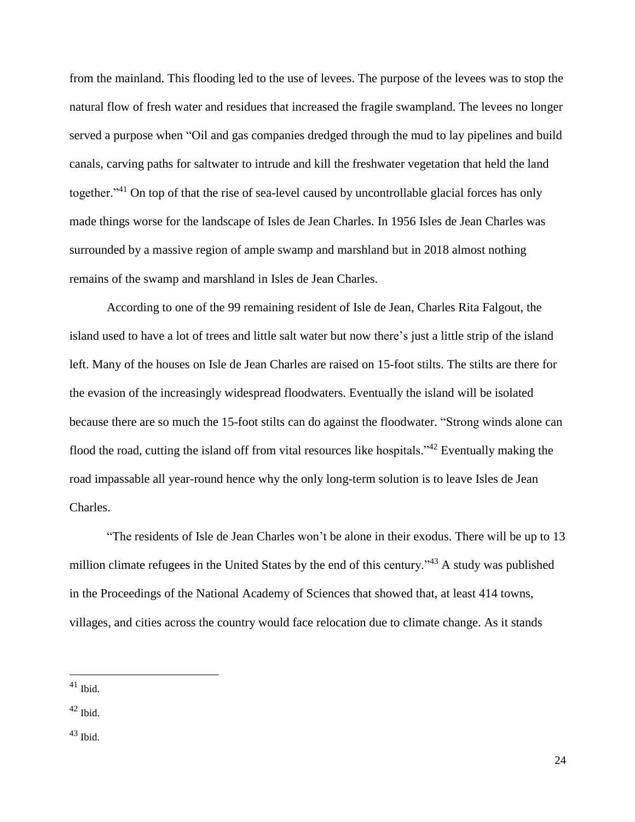from the mainland. This flooding led to the use of levees. The purpose of the levees was to stop the natural flow of fresh water and residues that increased the fragile swampland. The levees no longer served a purpose when "Oil and gas companies dredged through the mud to lay pipelines and build canals, carving paths for saltwater to intrude and kill the freshwater vegetation that held the land together."<sup>41</sup> On top of that the rise of sea-level caused by uncontrollable glacial forces has only made things worse for the landscape of Isles de Jean Charles. In 1956 Isles de Jean Charles was surrounded by a massive region of ample swamp and marshland but in 2018 almost nothing remains of the swamp and marshland in Isles de Jean Charles.

According to one of the 99 remaining resident of Isle de Jean, Charles Rita Falgout, the island used to have a lot of trees and little salt water but now there's just a little strip of the island left. Many of the houses on Isle de Jean Charles are raised on 15-foot stilts. The stilts are there for the evasion of the increasingly widespread floodwaters. Eventually the island will be isolated because there are so much the 15-foot stilts can do against the floodwater. "Strong winds alone can flood the road, cutting the island off from vital resources like hospitals."<sup>42</sup> Eventually making the road impassable all year-round hence why the only long-term solution is to leave Isles de Jean Charles.

"The residents of Isle de Jean Charles won't be alone in their exodus. There will be up to 13 million climate refugees in the United States by the end of this century."<sup>43</sup> A study was published in the Proceedings of the National Academy of Sciences that showed that, at least 414 towns, villages, and cities across the country would face relocation due to climate change. As it stands

 $41$  Ibid.

 $42$  Ibid.

 $43$  Ibid.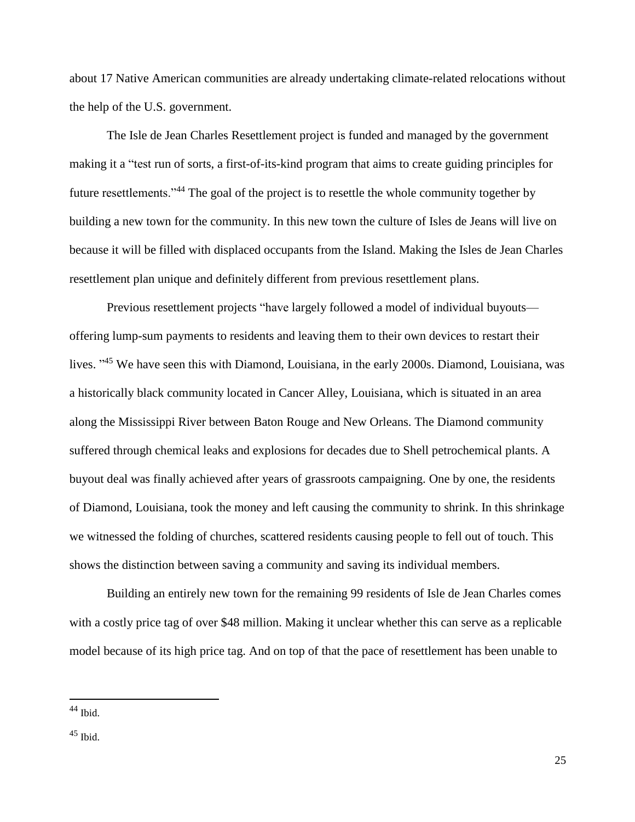about 17 Native American communities are already undertaking climate-related relocations without the help of the U.S. government.

The Isle de Jean Charles Resettlement project is funded and managed by the government making it a "test run of sorts, a first-of-its-kind program that aims to create guiding principles for future resettlements."<sup>44</sup> The goal of the project is to resettle the whole community together by building a new town for the community. In this new town the culture of Isles de Jeans will live on because it will be filled with displaced occupants from the Island. Making the Isles de Jean Charles resettlement plan unique and definitely different from previous resettlement plans.

Previous resettlement projects "have largely followed a model of individual buyouts offering lump-sum payments to residents and leaving them to their own devices to restart their lives. "<sup>45</sup> We have seen this with Diamond, Louisiana, in the early 2000s. Diamond, Louisiana, was a historically black community located in Cancer Alley, Louisiana, which is situated in an area along the Mississippi River between Baton Rouge and New Orleans. The Diamond community suffered through chemical leaks and explosions for decades due to Shell petrochemical plants. A buyout deal was finally achieved after years of grassroots campaigning. One by one, the residents of Diamond, Louisiana, took the money and left causing the community to shrink. In this shrinkage we witnessed the folding of churches, scattered residents causing people to fell out of touch. This shows the distinction between saving a community and saving its individual members.

Building an entirely new town for the remaining 99 residents of Isle de Jean Charles comes with a costly price tag of over \$48 million. Making it unclear whether this can serve as a replicable model because of its high price tag. And on top of that the pace of resettlement has been unable to

 $44$  Ibid.

 $45$  Ibid.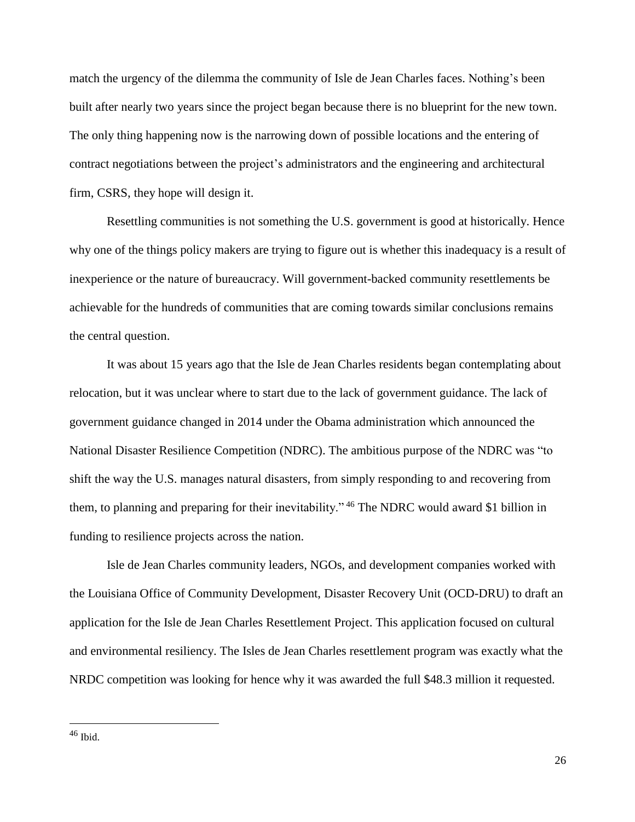match the urgency of the dilemma the community of Isle de Jean Charles faces. Nothing's been built after nearly two years since the project began because there is no blueprint for the new town. The only thing happening now is the narrowing down of possible locations and the entering of contract negotiations between the project's administrators and the engineering and architectural firm, CSRS, they hope will design it.

Resettling communities is not something the U.S. government is good at historically. Hence why one of the things policy makers are trying to figure out is whether this inadequacy is a result of inexperience or the nature of bureaucracy. Will government-backed community resettlements be achievable for the hundreds of communities that are coming towards similar conclusions remains the central question.

It was about 15 years ago that the Isle de Jean Charles residents began contemplating about relocation, but it was unclear where to start due to the lack of government guidance. The lack of government guidance changed in 2014 under the Obama administration which announced the National Disaster Resilience Competition (NDRC). The ambitious purpose of the NDRC was "to shift the way the U.S. manages natural disasters, from simply responding to and recovering from them, to planning and preparing for their inevitability." <sup>46</sup> The NDRC would award \$1 billion in funding to resilience projects across the nation.

Isle de Jean Charles community leaders, NGOs, and development companies worked with the Louisiana Office of Community Development, Disaster Recovery Unit (OCD-DRU) to draft an application for the Isle de Jean Charles Resettlement Project. This application focused on cultural and environmental resiliency. The Isles de Jean Charles resettlement program was exactly what the NRDC competition was looking for hence why it was awarded the full \$48.3 million it requested.

 $46$  Ibid.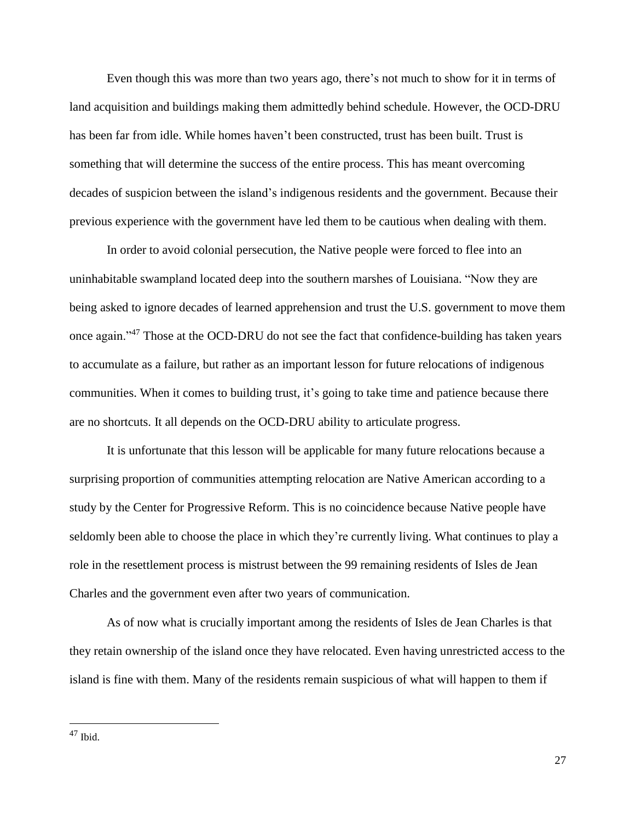Even though this was more than two years ago, there's not much to show for it in terms of land acquisition and buildings making them admittedly behind schedule. However, the OCD-DRU has been far from idle. While homes haven't been constructed, trust has been built. Trust is something that will determine the success of the entire process. This has meant overcoming decades of suspicion between the island's indigenous residents and the government. Because their previous experience with the government have led them to be cautious when dealing with them.

In order to avoid colonial persecution, the Native people were forced to flee into an uninhabitable swampland located deep into the southern marshes of Louisiana. "Now they are being asked to ignore decades of learned apprehension and trust the U.S. government to move them once again."<sup>47</sup> Those at the OCD-DRU do not see the fact that confidence-building has taken years to accumulate as a failure, but rather as an important lesson for future relocations of indigenous communities. When it comes to building trust, it's going to take time and patience because there are no shortcuts. It all depends on the OCD-DRU ability to articulate progress.

It is unfortunate that this lesson will be applicable for many future relocations because a surprising proportion of communities attempting relocation are Native American according to a study by the Center for Progressive Reform. This is no coincidence because Native people have seldomly been able to choose the place in which they're currently living. What continues to play a role in the resettlement process is mistrust between the 99 remaining residents of Isles de Jean Charles and the government even after two years of communication.

As of now what is crucially important among the residents of Isles de Jean Charles is that they retain ownership of the island once they have relocated. Even having unrestricted access to the island is fine with them. Many of the residents remain suspicious of what will happen to them if

 $47$  Ibid.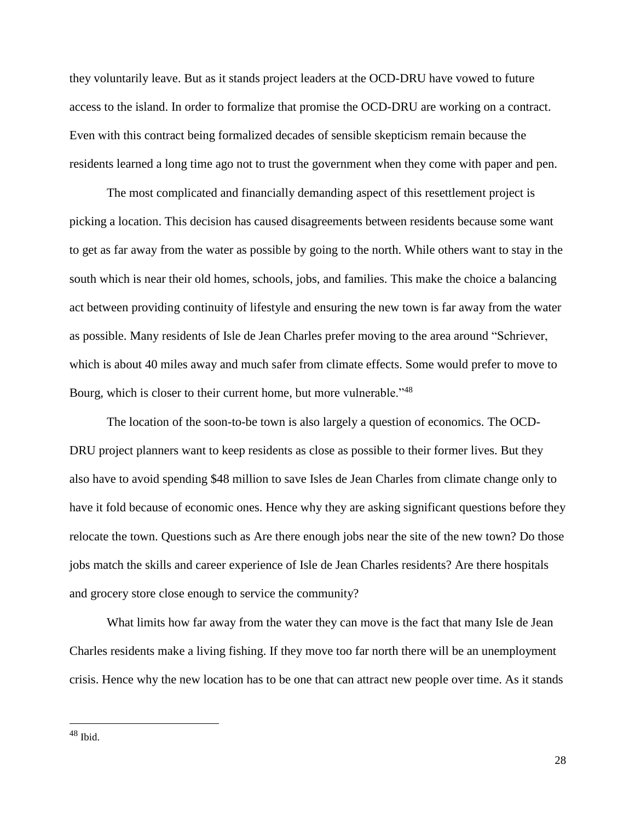they voluntarily leave. But as it stands project leaders at the OCD-DRU have vowed to future access to the island. In order to formalize that promise the OCD-DRU are working on a contract. Even with this contract being formalized decades of sensible skepticism remain because the residents learned a long time ago not to trust the government when they come with paper and pen.

The most complicated and financially demanding aspect of this resettlement project is picking a location. This decision has caused disagreements between residents because some want to get as far away from the water as possible by going to the north. While others want to stay in the south which is near their old homes, schools, jobs, and families. This make the choice a balancing act between providing continuity of lifestyle and ensuring the new town is far away from the water as possible. Many residents of Isle de Jean Charles prefer moving to the area around "Schriever, which is about 40 miles away and much safer from climate effects. Some would prefer to move to Bourg, which is closer to their current home, but more vulnerable."<sup>48</sup>

The location of the soon-to-be town is also largely a question of economics. The OCD-DRU project planners want to keep residents as close as possible to their former lives. But they also have to avoid spending \$48 million to save Isles de Jean Charles from climate change only to have it fold because of economic ones. Hence why they are asking significant questions before they relocate the town. Questions such as Are there enough jobs near the site of the new town? Do those jobs match the skills and career experience of Isle de Jean Charles residents? Are there hospitals and grocery store close enough to service the community?

What limits how far away from the water they can move is the fact that many Isle de Jean Charles residents make a living fishing. If they move too far north there will be an unemployment crisis. Hence why the new location has to be one that can attract new people over time. As it stands

 $48$  Ibid.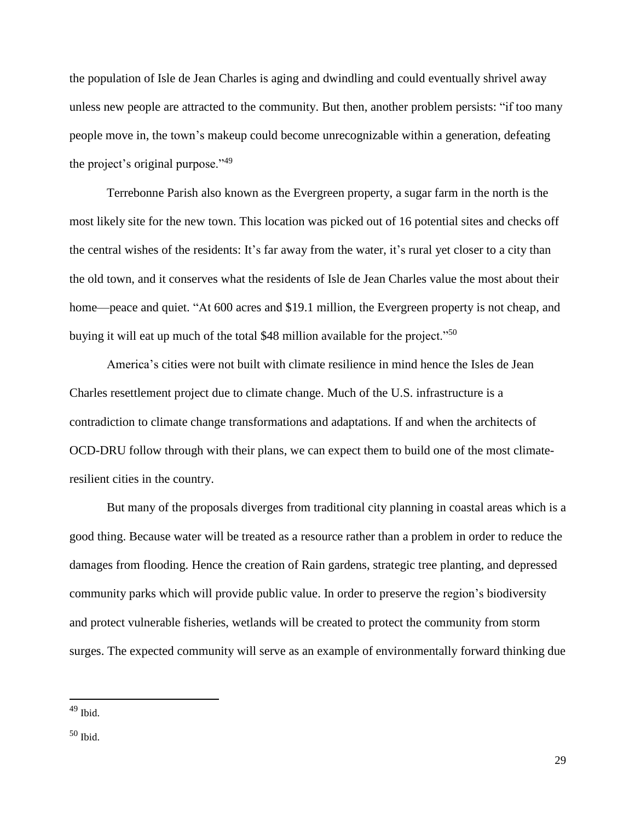the population of Isle de Jean Charles is aging and dwindling and could eventually shrivel away unless new people are attracted to the community. But then, another problem persists: "if too many people move in, the town's makeup could become unrecognizable within a generation, defeating the project's original purpose."<sup>49</sup>

Terrebonne Parish also known as the Evergreen property, a sugar farm in the north is the most likely site for the new town. This location was picked out of 16 potential sites and checks off the central wishes of the residents: It's far away from the water, it's rural yet closer to a city than the old town, and it conserves what the residents of Isle de Jean Charles value the most about their home—peace and quiet. "At 600 acres and \$19.1 million, the Evergreen property is not cheap, and buying it will eat up much of the total \$48 million available for the project."<sup>50</sup>

America's cities were not built with climate resilience in mind hence the Isles de Jean Charles resettlement project due to climate change. Much of the U.S. infrastructure is a contradiction to climate change transformations and adaptations. If and when the architects of OCD-DRU follow through with their plans, we can expect them to build one of the most climateresilient cities in the country.

But many of the proposals diverges from traditional city planning in coastal areas which is a good thing. Because water will be treated as a resource rather than a problem in order to reduce the damages from flooding. Hence the creation of Rain gardens, strategic tree planting, and depressed community parks which will provide public value. In order to preserve the region's biodiversity and protect vulnerable fisheries, wetlands will be created to protect the community from storm surges. The expected community will serve as an example of environmentally forward thinking due

 $49$  Ibid.

<sup>50</sup> Ibid.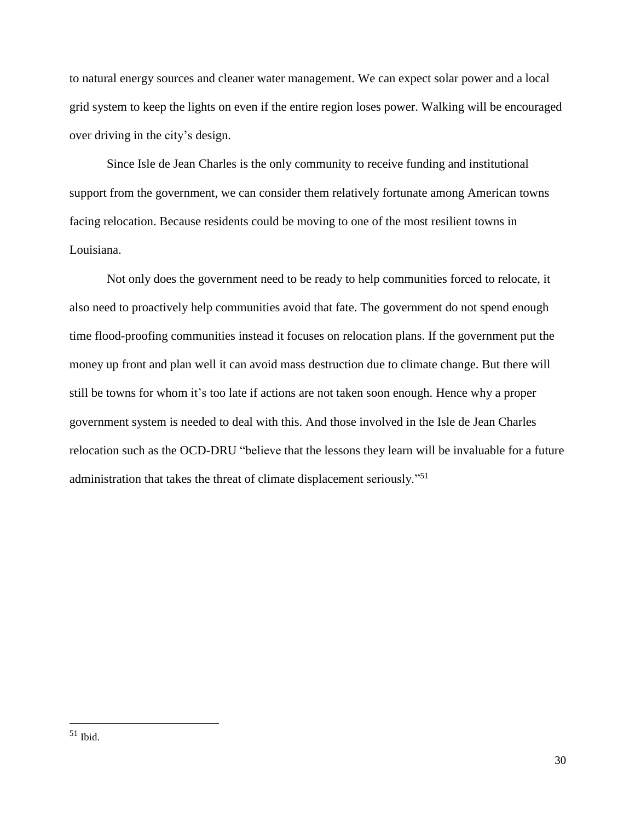to natural energy sources and cleaner water management. We can expect solar power and a local grid system to keep the lights on even if the entire region loses power. Walking will be encouraged over driving in the city's design.

Since Isle de Jean Charles is the only community to receive funding and institutional support from the government, we can consider them relatively fortunate among American towns facing relocation. Because residents could be moving to one of the most resilient towns in Louisiana.

Not only does the government need to be ready to help communities forced to relocate, it also need to proactively help communities avoid that fate. The government do not spend enough time flood-proofing communities instead it focuses on relocation plans. If the government put the money up front and plan well it can avoid mass destruction due to climate change. But there will still be towns for whom it's too late if actions are not taken soon enough. Hence why a proper government system is needed to deal with this. And those involved in the Isle de Jean Charles relocation such as the OCD-DRU "believe that the lessons they learn will be invaluable for a future administration that takes the threat of climate displacement seriously."<sup>51</sup>

 $51$  Ibid.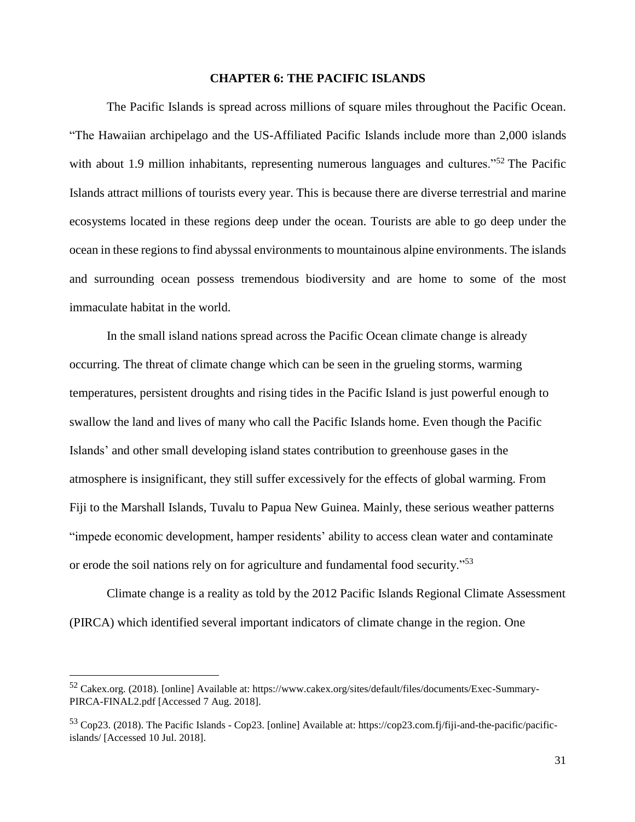#### **CHAPTER 6: THE PACIFIC ISLANDS**

The Pacific Islands is spread across millions of square miles throughout the Pacific Ocean. "The Hawaiian archipelago and the US-Affiliated Pacific Islands include more than 2,000 islands with about 1.9 million inhabitants, representing numerous languages and cultures."<sup>52</sup> The Pacific Islands attract millions of tourists every year. This is because there are diverse terrestrial and marine ecosystems located in these regions deep under the ocean. Tourists are able to go deep under the ocean in these regions to find abyssal environments to mountainous alpine environments. The islands and surrounding ocean possess tremendous biodiversity and are home to some of the most immaculate habitat in the world.

In the small island nations spread across the Pacific Ocean climate change is already occurring. The threat of climate change which can be seen in the grueling storms, warming temperatures, persistent droughts and rising tides in the Pacific Island is just powerful enough to swallow the land and lives of many who call the Pacific Islands home. Even though the Pacific Islands' and other small developing island states contribution to greenhouse gases in the atmosphere is insignificant, they still suffer excessively for the effects of global warming. From Fiji to the Marshall Islands, Tuvalu to Papua New Guinea. Mainly, these serious weather patterns "impede economic development, hamper residents' ability to access clean water and contaminate or erode the soil nations rely on for agriculture and fundamental food security."<sup>53</sup>

Climate change is a reality as told by the 2012 Pacific Islands Regional Climate Assessment (PIRCA) which identified several important indicators of climate change in the region. One

<sup>52</sup> Cakex.org. (2018). [online] Available at: https://www.cakex.org/sites/default/files/documents/Exec-Summary-PIRCA-FINAL2.pdf [Accessed 7 Aug. 2018].

<sup>53</sup> Cop23. (2018). The Pacific Islands - Cop23. [online] Available at: https://cop23.com.fj/fiji-and-the-pacific/pacificislands/ [Accessed 10 Jul. 2018].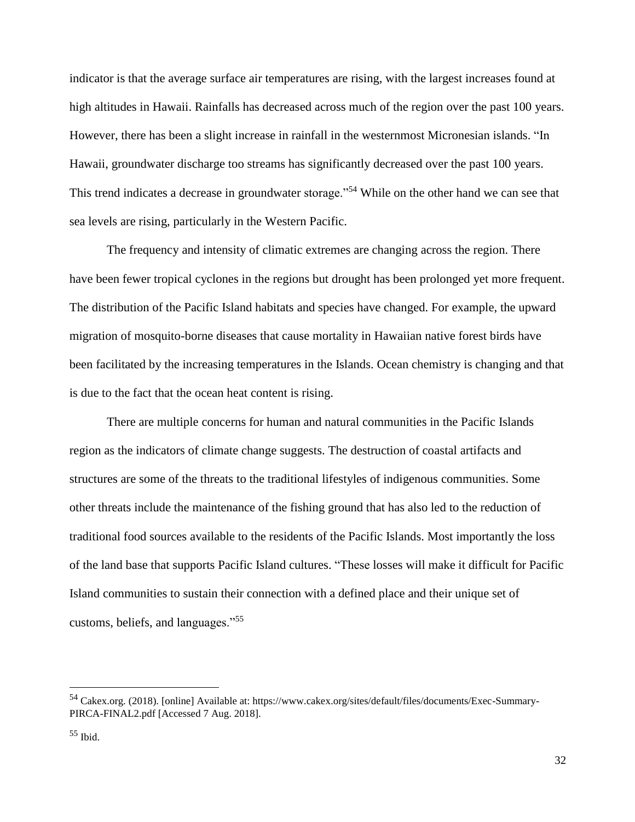indicator is that the average surface air temperatures are rising, with the largest increases found at high altitudes in Hawaii. Rainfalls has decreased across much of the region over the past 100 years. However, there has been a slight increase in rainfall in the westernmost Micronesian islands. "In Hawaii, groundwater discharge too streams has significantly decreased over the past 100 years. This trend indicates a decrease in groundwater storage."<sup>54</sup> While on the other hand we can see that sea levels are rising, particularly in the Western Pacific.

The frequency and intensity of climatic extremes are changing across the region. There have been fewer tropical cyclones in the regions but drought has been prolonged yet more frequent. The distribution of the Pacific Island habitats and species have changed. For example, the upward migration of mosquito-borne diseases that cause mortality in Hawaiian native forest birds have been facilitated by the increasing temperatures in the Islands. Ocean chemistry is changing and that is due to the fact that the ocean heat content is rising.

There are multiple concerns for human and natural communities in the Pacific Islands region as the indicators of climate change suggests. The destruction of coastal artifacts and structures are some of the threats to the traditional lifestyles of indigenous communities. Some other threats include the maintenance of the fishing ground that has also led to the reduction of traditional food sources available to the residents of the Pacific Islands. Most importantly the loss of the land base that supports Pacific Island cultures. "These losses will make it difficult for Pacific Island communities to sustain their connection with a defined place and their unique set of customs, beliefs, and languages."<sup>55</sup>

<sup>54</sup> Cakex.org. (2018). [online] Available at: https://www.cakex.org/sites/default/files/documents/Exec-Summary-PIRCA-FINAL2.pdf [Accessed 7 Aug. 2018].

 $55$  Ibid.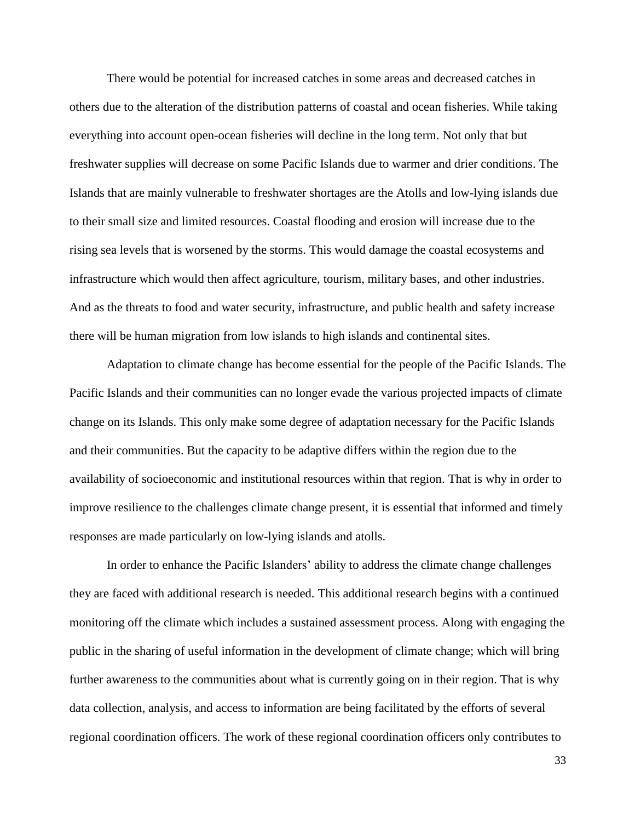There would be potential for increased catches in some areas and decreased catches in others due to the alteration of the distribution patterns of coastal and ocean fisheries. While taking everything into account open-ocean fisheries will decline in the long term. Not only that but freshwater supplies will decrease on some Pacific Islands due to warmer and drier conditions. The Islands that are mainly vulnerable to freshwater shortages are the Atolls and low-lying islands due to their small size and limited resources. Coastal flooding and erosion will increase due to the rising sea levels that is worsened by the storms. This would damage the coastal ecosystems and infrastructure which would then affect agriculture, tourism, military bases, and other industries. And as the threats to food and water security, infrastructure, and public health and safety increase there will be human migration from low islands to high islands and continental sites.

Adaptation to climate change has become essential for the people of the Pacific Islands. The Pacific Islands and their communities can no longer evade the various projected impacts of climate change on its Islands. This only make some degree of adaptation necessary for the Pacific Islands and their communities. But the capacity to be adaptive differs within the region due to the availability of socioeconomic and institutional resources within that region. That is why in order to improve resilience to the challenges climate change present, it is essential that informed and timely responses are made particularly on low-lying islands and atolls.

In order to enhance the Pacific Islanders' ability to address the climate change challenges they are faced with additional research is needed. This additional research begins with a continued monitoring off the climate which includes a sustained assessment process. Along with engaging the public in the sharing of useful information in the development of climate change; which will bring further awareness to the communities about what is currently going on in their region. That is why data collection, analysis, and access to information are being facilitated by the efforts of several regional coordination officers. The work of these regional coordination officers only contributes to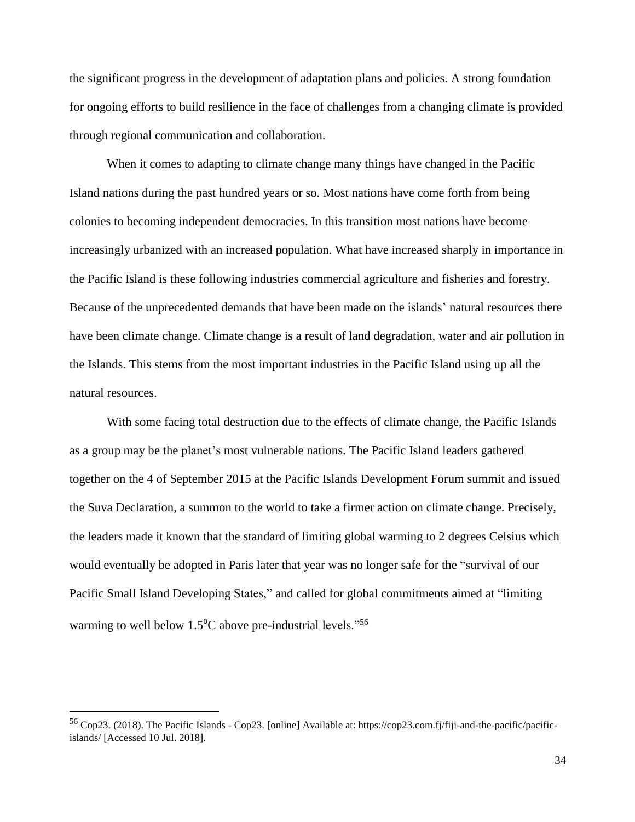the significant progress in the development of adaptation plans and policies. A strong foundation for ongoing efforts to build resilience in the face of challenges from a changing climate is provided through regional communication and collaboration.

When it comes to adapting to climate change many things have changed in the Pacific Island nations during the past hundred years or so. Most nations have come forth from being colonies to becoming independent democracies. In this transition most nations have become increasingly urbanized with an increased population. What have increased sharply in importance in the Pacific Island is these following industries commercial agriculture and fisheries and forestry. Because of the unprecedented demands that have been made on the islands' natural resources there have been climate change. Climate change is a result of land degradation, water and air pollution in the Islands. This stems from the most important industries in the Pacific Island using up all the natural resources.

With some facing total destruction due to the effects of climate change, the Pacific Islands as a group may be the planet's most vulnerable nations. The Pacific Island leaders gathered together on the 4 of September 2015 at the Pacific Islands Development Forum summit and issued the Suva Declaration, a summon to the world to take a firmer action on climate change. Precisely, the leaders made it known that the standard of limiting global warming to 2 degrees Celsius which would eventually be adopted in Paris later that year was no longer safe for the "survival of our Pacific Small Island Developing States," and called for global commitments aimed at "limiting warming to well below  $1.5^{\circ}$ C above pre-industrial levels."<sup>56</sup>

<sup>56</sup> Cop23. (2018). The Pacific Islands - Cop23. [online] Available at: https://cop23.com.fj/fiji-and-the-pacific/pacificislands/ [Accessed 10 Jul. 2018].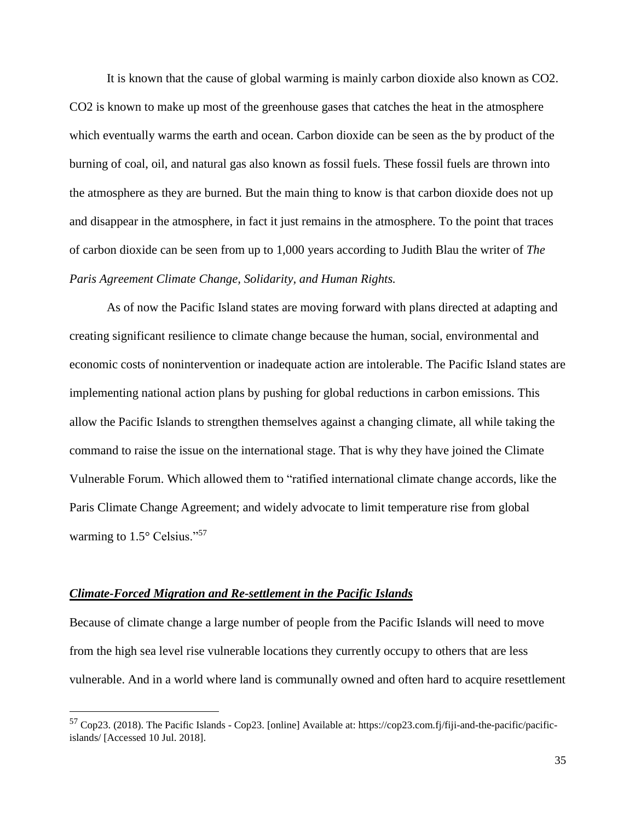It is known that the cause of global warming is mainly carbon dioxide also known as CO2. CO2 is known to make up most of the greenhouse gases that catches the heat in the atmosphere which eventually warms the earth and ocean. Carbon dioxide can be seen as the by product of the burning of coal, oil, and natural gas also known as fossil fuels. These fossil fuels are thrown into the atmosphere as they are burned. But the main thing to know is that carbon dioxide does not up and disappear in the atmosphere, in fact it just remains in the atmosphere. To the point that traces of carbon dioxide can be seen from up to 1,000 years according to Judith Blau the writer of *The Paris Agreement Climate Change, Solidarity, and Human Rights.*

As of now the Pacific Island states are moving forward with plans directed at adapting and creating significant resilience to climate change because the human, social, environmental and economic costs of nonintervention or inadequate action are intolerable. The Pacific Island states are implementing national action plans by pushing for global reductions in carbon emissions. This allow the Pacific Islands to strengthen themselves against a changing climate, all while taking the command to raise the issue on the international stage. That is why they have joined the Climate Vulnerable Forum. Which allowed them to "ratified international climate change accords, like the Paris Climate Change Agreement; and widely advocate to limit temperature rise from global warming to 1.5° Celsius."<sup>57</sup>

#### *Climate-Forced Migration and Re-settlement in the Pacific Islands*

 $\overline{a}$ 

Because of climate change a large number of people from the Pacific Islands will need to move from the high sea level rise vulnerable locations they currently occupy to others that are less vulnerable. And in a world where land is communally owned and often hard to acquire resettlement

<sup>57</sup> Cop23. (2018). The Pacific Islands - Cop23. [online] Available at: https://cop23.com.fj/fiji-and-the-pacific/pacificislands/ [Accessed 10 Jul. 2018].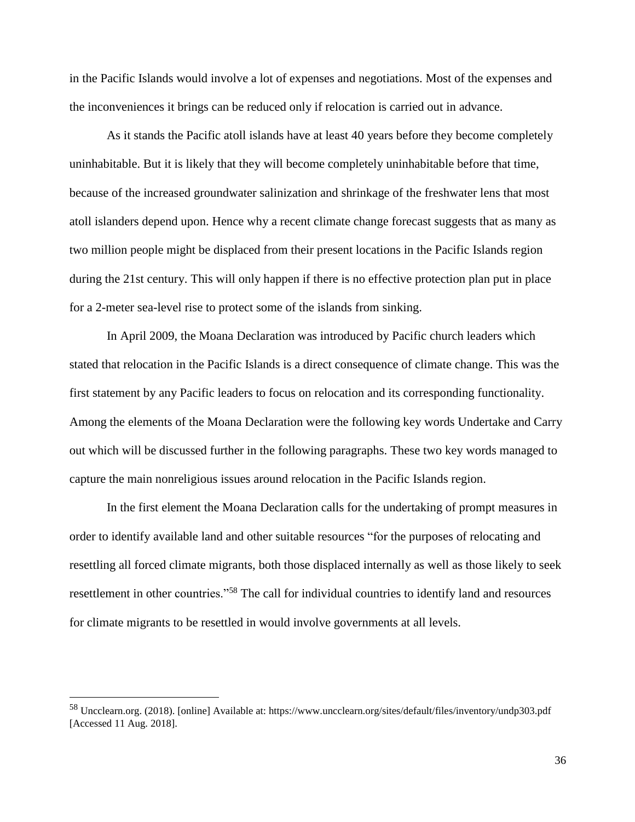in the Pacific Islands would involve a lot of expenses and negotiations. Most of the expenses and the inconveniences it brings can be reduced only if relocation is carried out in advance.

As it stands the Pacific atoll islands have at least 40 years before they become completely uninhabitable. But it is likely that they will become completely uninhabitable before that time, because of the increased groundwater salinization and shrinkage of the freshwater lens that most atoll islanders depend upon. Hence why a recent climate change forecast suggests that as many as two million people might be displaced from their present locations in the Pacific Islands region during the 21st century. This will only happen if there is no effective protection plan put in place for a 2-meter sea-level rise to protect some of the islands from sinking.

In April 2009, the Moana Declaration was introduced by Pacific church leaders which stated that relocation in the Pacific Islands is a direct consequence of climate change. This was the first statement by any Pacific leaders to focus on relocation and its corresponding functionality. Among the elements of the Moana Declaration were the following key words Undertake and Carry out which will be discussed further in the following paragraphs. These two key words managed to capture the main nonreligious issues around relocation in the Pacific Islands region.

In the first element the Moana Declaration calls for the undertaking of prompt measures in order to identify available land and other suitable resources "for the purposes of relocating and resettling all forced climate migrants, both those displaced internally as well as those likely to seek resettlement in other countries."<sup>58</sup> The call for individual countries to identify land and resources for climate migrants to be resettled in would involve governments at all levels.

<sup>58</sup> Uncclearn.org. (2018). [online] Available at: https://www.uncclearn.org/sites/default/files/inventory/undp303.pdf [Accessed 11 Aug. 2018].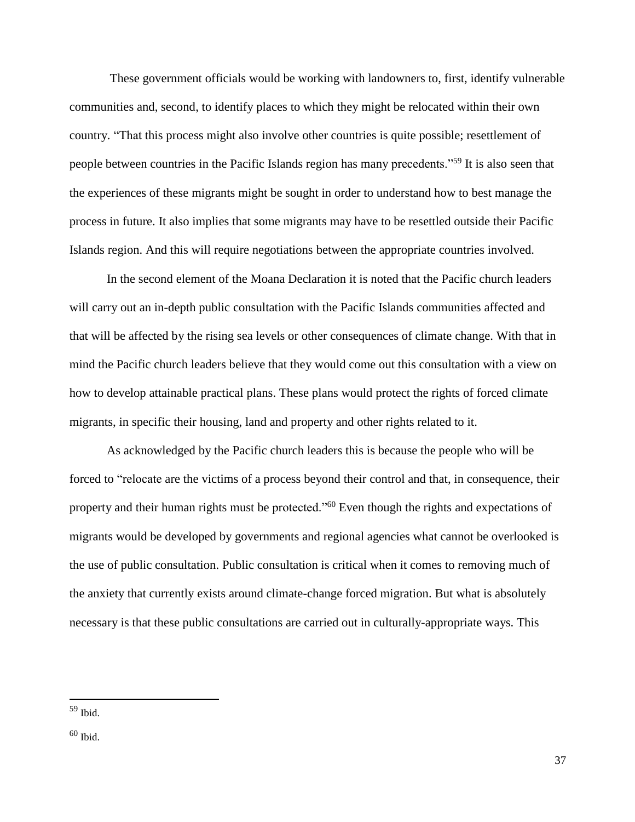These government officials would be working with landowners to, first, identify vulnerable communities and, second, to identify places to which they might be relocated within their own country. "That this process might also involve other countries is quite possible; resettlement of people between countries in the Pacific Islands region has many precedents."<sup>59</sup> It is also seen that the experiences of these migrants might be sought in order to understand how to best manage the process in future. It also implies that some migrants may have to be resettled outside their Pacific Islands region. And this will require negotiations between the appropriate countries involved.

In the second element of the Moana Declaration it is noted that the Pacific church leaders will carry out an in-depth public consultation with the Pacific Islands communities affected and that will be affected by the rising sea levels or other consequences of climate change. With that in mind the Pacific church leaders believe that they would come out this consultation with a view on how to develop attainable practical plans. These plans would protect the rights of forced climate migrants, in specific their housing, land and property and other rights related to it.

As acknowledged by the Pacific church leaders this is because the people who will be forced to "relocate are the victims of a process beyond their control and that, in consequence, their property and their human rights must be protected."<sup>60</sup> Even though the rights and expectations of migrants would be developed by governments and regional agencies what cannot be overlooked is the use of public consultation. Public consultation is critical when it comes to removing much of the anxiety that currently exists around climate-change forced migration. But what is absolutely necessary is that these public consultations are carried out in culturally-appropriate ways. This

<sup>59</sup> Ibid.

 $60$  Ibid.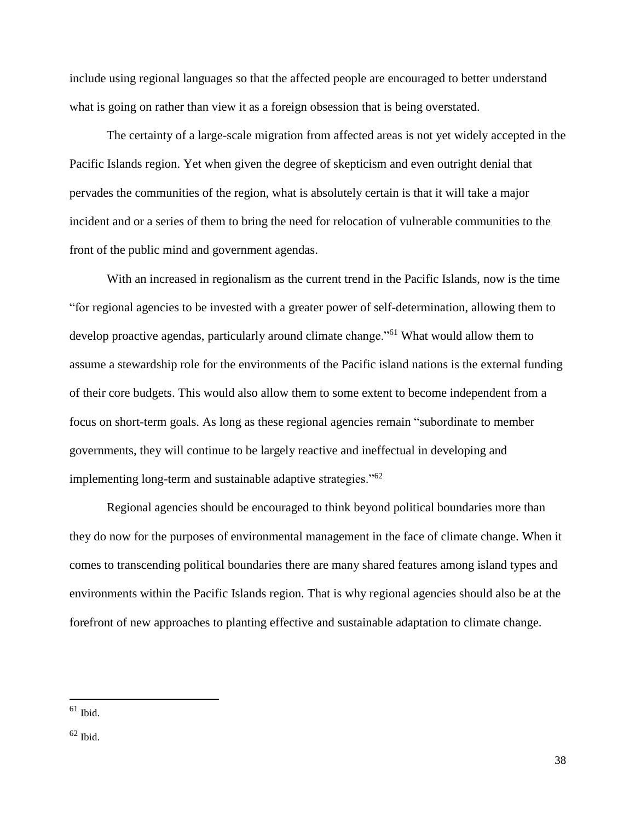include using regional languages so that the affected people are encouraged to better understand what is going on rather than view it as a foreign obsession that is being overstated.

The certainty of a large-scale migration from affected areas is not yet widely accepted in the Pacific Islands region. Yet when given the degree of skepticism and even outright denial that pervades the communities of the region, what is absolutely certain is that it will take a major incident and or a series of them to bring the need for relocation of vulnerable communities to the front of the public mind and government agendas.

With an increased in regionalism as the current trend in the Pacific Islands, now is the time "for regional agencies to be invested with a greater power of self-determination, allowing them to develop proactive agendas, particularly around climate change."<sup>61</sup> What would allow them to assume a stewardship role for the environments of the Pacific island nations is the external funding of their core budgets. This would also allow them to some extent to become independent from a focus on short-term goals. As long as these regional agencies remain "subordinate to member governments, they will continue to be largely reactive and ineffectual in developing and implementing long-term and sustainable adaptive strategies."<sup>62</sup>

Regional agencies should be encouraged to think beyond political boundaries more than they do now for the purposes of environmental management in the face of climate change. When it comes to transcending political boundaries there are many shared features among island types and environments within the Pacific Islands region. That is why regional agencies should also be at the forefront of new approaches to planting effective and sustainable adaptation to climate change.

 $61$  Ibid.

 $62$  Ibid.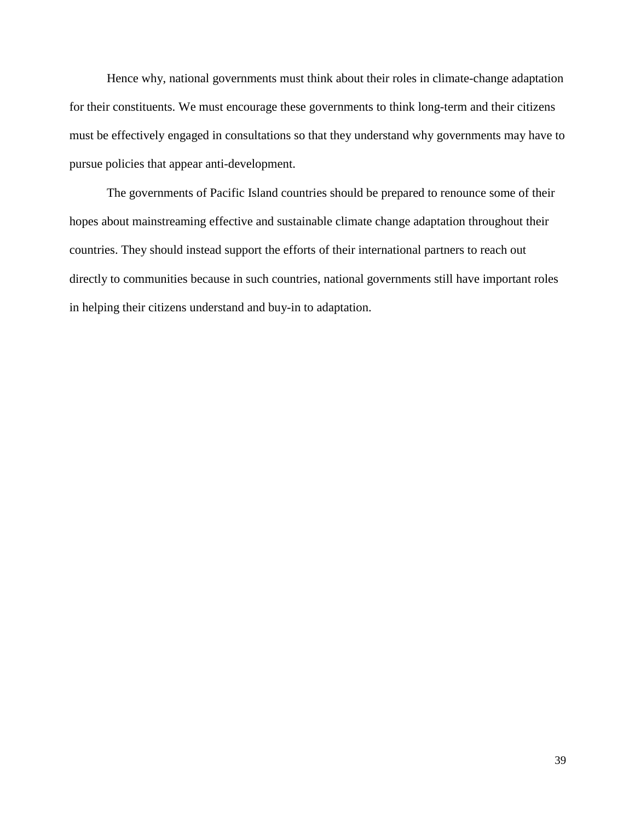Hence why, national governments must think about their roles in climate-change adaptation for their constituents. We must encourage these governments to think long-term and their citizens must be effectively engaged in consultations so that they understand why governments may have to pursue policies that appear anti-development.

The governments of Pacific Island countries should be prepared to renounce some of their hopes about mainstreaming effective and sustainable climate change adaptation throughout their countries. They should instead support the efforts of their international partners to reach out directly to communities because in such countries, national governments still have important roles in helping their citizens understand and buy-in to adaptation.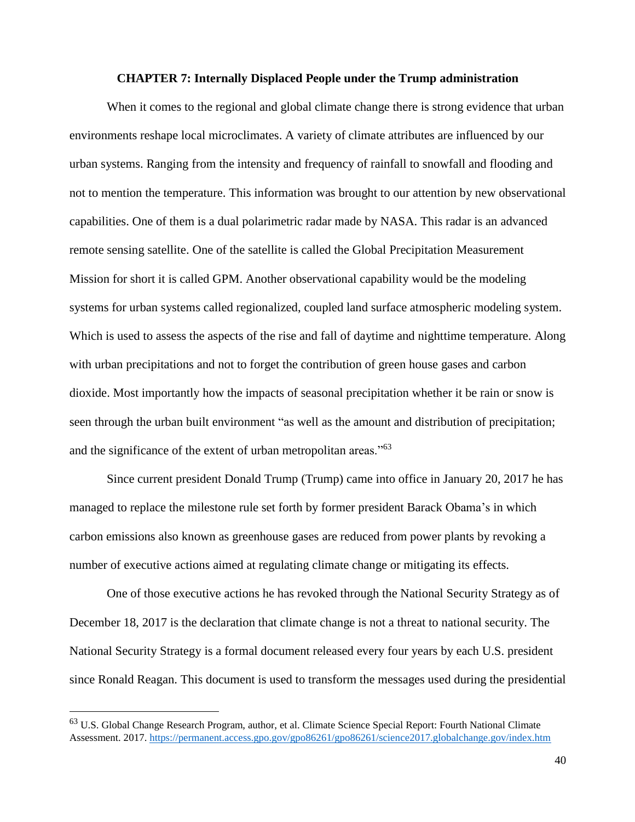#### **CHAPTER 7: Internally Displaced People under the Trump administration**

When it comes to the regional and global climate change there is strong evidence that urban environments reshape local microclimates. A variety of climate attributes are influenced by our urban systems. Ranging from the intensity and frequency of rainfall to snowfall and flooding and not to mention the temperature. This information was brought to our attention by new observational capabilities. One of them is a dual polarimetric radar made by NASA. This radar is an advanced remote sensing satellite. One of the satellite is called the Global Precipitation Measurement Mission for short it is called GPM. Another observational capability would be the modeling systems for urban systems called regionalized, coupled land surface atmospheric modeling system. Which is used to assess the aspects of the rise and fall of daytime and nighttime temperature. Along with urban precipitations and not to forget the contribution of green house gases and carbon dioxide. Most importantly how the impacts of seasonal precipitation whether it be rain or snow is seen through the urban built environment "as well as the amount and distribution of precipitation; and the significance of the extent of urban metropolitan areas."<sup>63</sup>

Since current president Donald Trump (Trump) came into office in January 20, 2017 he has managed to replace the milestone rule set forth by former president Barack Obama's in which carbon emissions also known as greenhouse gases are reduced from power plants by revoking a number of executive actions aimed at regulating climate change or mitigating its effects.

One of those executive actions he has revoked through the National Security Strategy as of December 18, 2017 is the declaration that climate change is not a threat to national security. The National Security Strategy is a formal document released every four years by each U.S. president since Ronald Reagan. This document is used to transform the messages used during the presidential

<sup>&</sup>lt;sup>63</sup> U.S. Global Change Research Program, author, et al. Climate Science Special Report: Fourth National Climate Assessment. 2017. <https://permanent.access.gpo.gov/gpo86261/gpo86261/science2017.globalchange.gov/index.htm>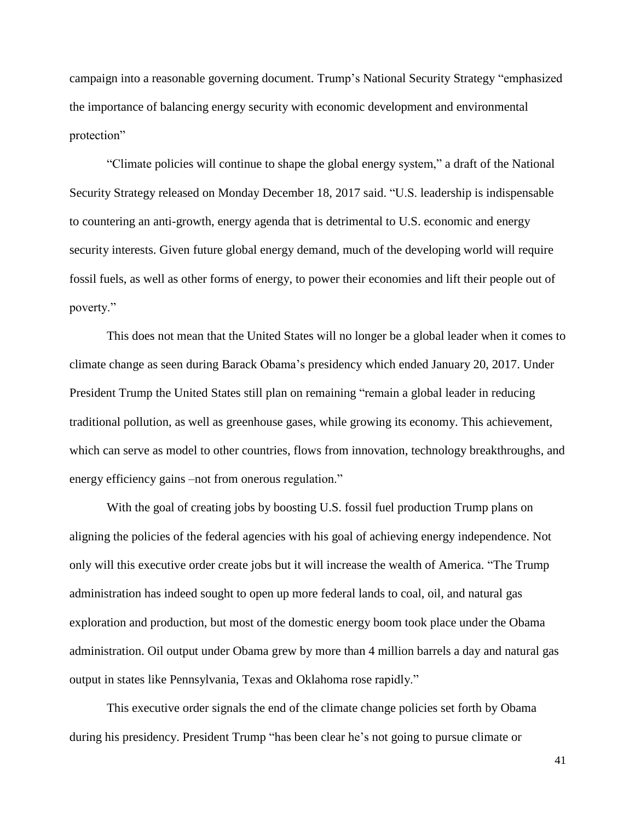campaign into a reasonable governing document. Trump's National Security Strategy "emphasized the importance of balancing energy security with economic development and environmental protection"

"Climate policies will continue to shape the global energy system," a draft of the National Security Strategy released on Monday December 18, 2017 said. "U.S. leadership is indispensable to countering an anti-growth, energy agenda that is detrimental to U.S. economic and energy security interests. Given future global energy demand, much of the developing world will require fossil fuels, as well as other forms of energy, to power their economies and lift their people out of poverty."

This does not mean that the United States will no longer be a global leader when it comes to climate change as seen during Barack Obama's presidency which ended January 20, 2017. Under President Trump the United States still plan on remaining "remain a global leader in reducing traditional pollution, as well as greenhouse gases, while growing its economy. This achievement, which can serve as model to other countries, flows from innovation, technology breakthroughs, and energy efficiency gains –not from onerous regulation."

With the goal of creating jobs by boosting U.S. fossil fuel production Trump plans on aligning the policies of the federal agencies with his goal of achieving energy independence. Not only will this executive order create jobs but it will increase the wealth of America. "The Trump administration has indeed sought to open up more federal lands to coal, oil, and natural gas exploration and production, but most of the domestic energy boom took place under the Obama administration. Oil output under Obama grew by more than 4 million barrels a day and natural gas output in states like Pennsylvania, Texas and Oklahoma rose rapidly."

This executive order signals the end of the climate change policies set forth by Obama during his presidency. President Trump "has been clear he's not going to pursue climate or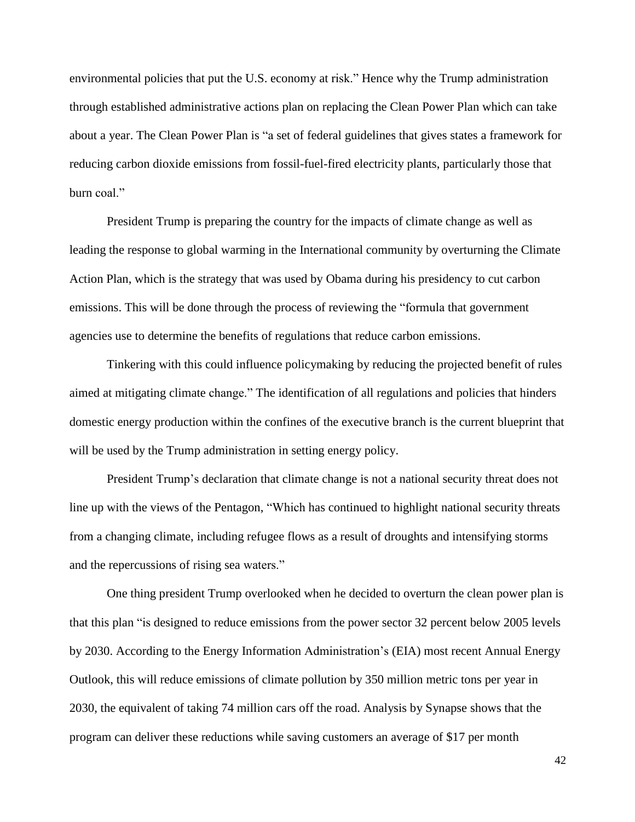environmental policies that put the U.S. economy at risk." Hence why the Trump administration through established administrative actions plan on replacing the Clean Power Plan which can take about a year. The Clean Power Plan is "a set of federal guidelines that gives states a framework for reducing carbon dioxide emissions from fossil-fuel-fired electricity plants, particularly those that burn coal."

President Trump is preparing the country for the impacts of climate change as well as leading the response to global warming in the International community by overturning the Climate Action Plan, which is the strategy that was used by Obama during his presidency to cut carbon emissions. This will be done through the process of reviewing the "formula that government agencies use to determine the benefits of regulations that reduce carbon emissions.

Tinkering with this could influence policymaking by reducing the projected benefit of rules aimed at mitigating climate change." The identification of all regulations and policies that hinders domestic energy production within the confines of the executive branch is the current blueprint that will be used by the Trump administration in setting energy policy.

President Trump's declaration that climate change is not a national security threat does not line up with the views of the Pentagon, "Which has continued to highlight national security threats from a changing climate, including refugee flows as a result of droughts and intensifying storms and the repercussions of rising sea waters."

One thing president Trump overlooked when he decided to overturn the clean power plan is that this plan "is designed to reduce emissions from the power sector 32 percent below 2005 levels by 2030. According to the Energy Information Administration's (EIA) most recent Annual Energy Outlook, this will reduce emissions of climate pollution by 350 million metric tons per year in 2030, the equivalent of taking 74 million cars off the road. Analysis by Synapse shows that the program can deliver these reductions while saving customers an average of \$17 per month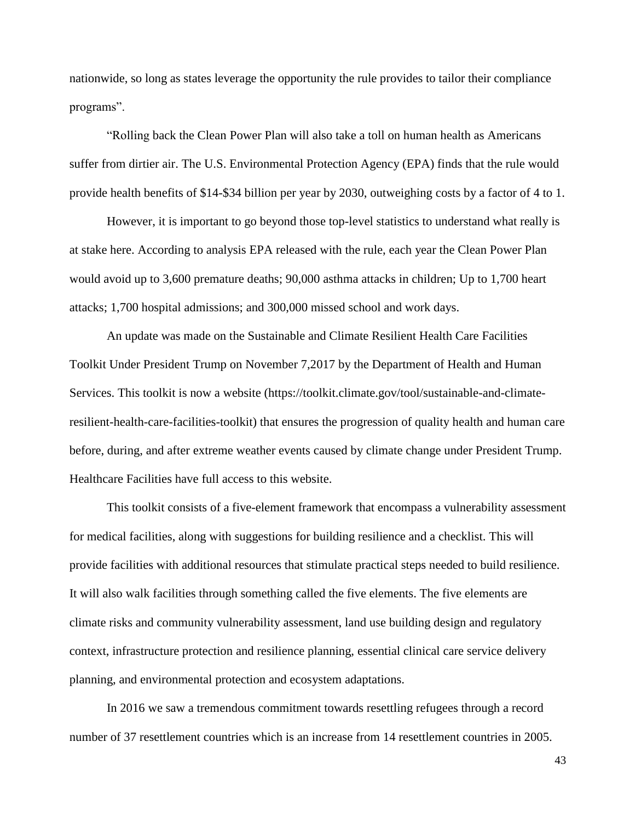nationwide, so long as states leverage the opportunity the rule provides to tailor their compliance programs".

"Rolling back the Clean Power Plan will also take a toll on human health as Americans suffer from dirtier air. The U.S. Environmental Protection Agency (EPA) finds that the rule would provide health benefits of \$14-\$34 billion per year by 2030, outweighing costs by a factor of 4 to 1.

However, it is important to go beyond those top-level statistics to understand what really is at stake here. According to analysis EPA released with the rule, each year the Clean Power Plan would avoid up to 3,600 premature deaths; 90,000 asthma attacks in children; Up to 1,700 heart attacks; 1,700 hospital admissions; and 300,000 missed school and work days.

An update was made on the Sustainable and Climate Resilient Health Care Facilities Toolkit Under President Trump on November 7,2017 by the Department of Health and Human Services. This toolkit is now a website (https://toolkit.climate.gov/tool/sustainable-and-climateresilient-health-care-facilities-toolkit) that ensures the progression of quality health and human care before, during, and after extreme weather events caused by climate change under President Trump. Healthcare Facilities have full access to this website.

This toolkit consists of a five-element framework that encompass a vulnerability assessment for medical facilities, along with suggestions for building resilience and a checklist. This will provide facilities with additional resources that stimulate practical steps needed to build resilience. It will also walk facilities through something called the five elements. The five elements are climate risks and community vulnerability assessment, land use building design and regulatory context, infrastructure protection and resilience planning, essential clinical care service delivery planning, and environmental protection and ecosystem adaptations.

In 2016 we saw a tremendous commitment towards resettling refugees through a record number of 37 resettlement countries which is an increase from 14 resettlement countries in 2005.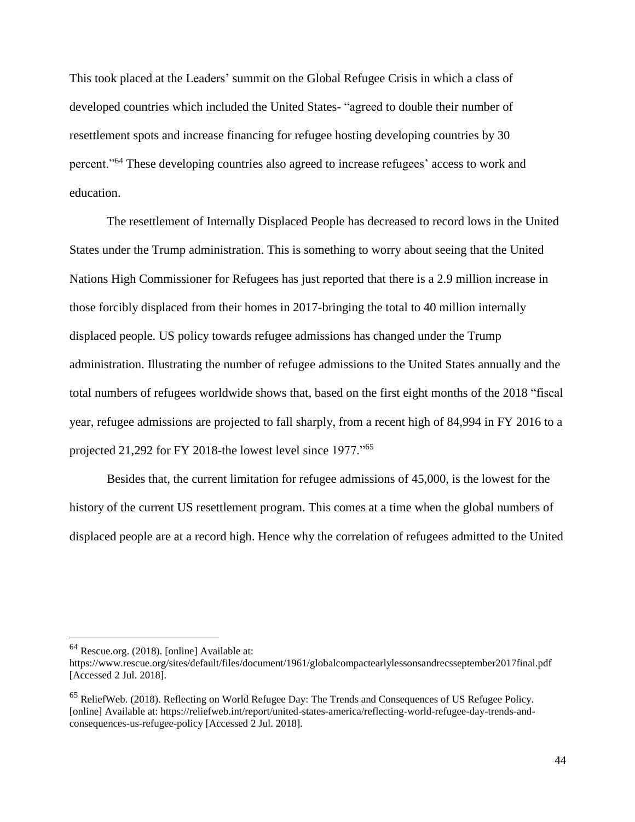This took placed at the Leaders' summit on the Global Refugee Crisis in which a class of developed countries which included the United States- "agreed to double their number of resettlement spots and increase financing for refugee hosting developing countries by 30 percent."<sup>64</sup> These developing countries also agreed to increase refugees' access to work and education.

The resettlement of Internally Displaced People has decreased to record lows in the United States under the Trump administration. This is something to worry about seeing that the United Nations High Commissioner for Refugees has just reported that there is a 2.9 million increase in those forcibly displaced from their homes in 2017-bringing the total to 40 million internally displaced people. US policy towards refugee admissions has changed under the Trump administration. Illustrating the number of refugee admissions to the United States annually and the total numbers of refugees worldwide shows that, based on the first eight months of the 2018 "fiscal year, refugee admissions are projected to fall sharply, from a recent high of 84,994 in FY 2016 to a projected 21,292 for FY 2018-the lowest level since 1977."<sup>65</sup>

Besides that, the current limitation for refugee admissions of 45,000, is the lowest for the history of the current US resettlement program. This comes at a time when the global numbers of displaced people are at a record high. Hence why the correlation of refugees admitted to the United

<sup>64</sup> Rescue.org. (2018). [online] Available at:

https://www.rescue.org/sites/default/files/document/1961/globalcompactearlylessonsandrecsseptember2017final.pdf [Accessed 2 Jul. 2018].

<sup>65</sup> ReliefWeb. (2018). Reflecting on World Refugee Day: The Trends and Consequences of US Refugee Policy. [online] Available at: https://reliefweb.int/report/united-states-america/reflecting-world-refugee-day-trends-andconsequences-us-refugee-policy [Accessed 2 Jul. 2018].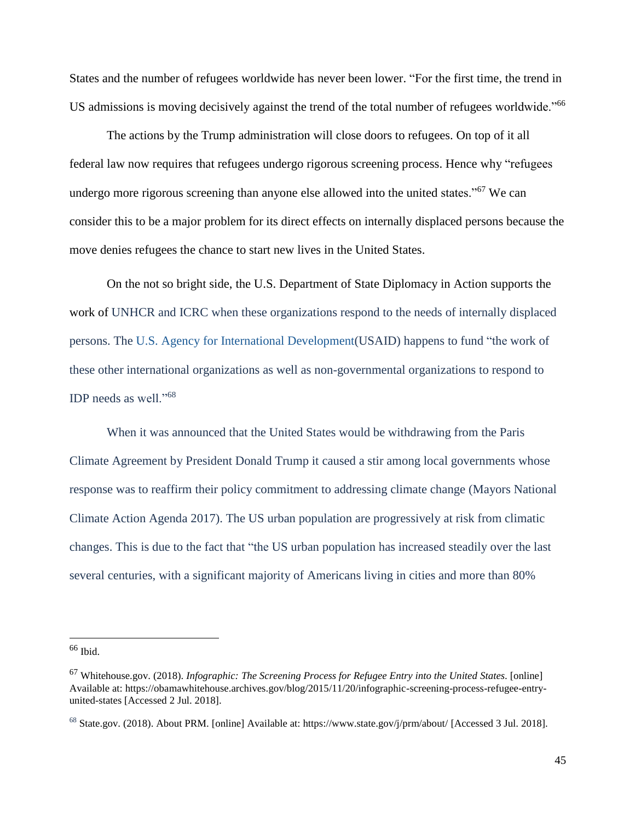States and the number of refugees worldwide has never been lower. "For the first time, the trend in US admissions is moving decisively against the trend of the total number of refugees worldwide."<sup>66</sup>

The actions by the Trump administration will close doors to refugees. On top of it all federal law now requires that refugees undergo rigorous screening process. Hence why "refugees undergo more rigorous screening than anyone else allowed into the united states."<sup>67</sup> We can consider this to be a major problem for its direct effects on internally displaced persons because the move denies refugees the chance to start new lives in the United States.

On the not so bright side, the U.S. Department of State Diplomacy in Action supports the work of UNHCR and ICRC when these organizations respond to the needs of internally displaced persons. The U.S. Agency for International [Development\(](http://www.usaid.gov/)USAID) happens to fund "the work of these other international organizations as well as non-governmental organizations to respond to IDP needs as well."<sup>68</sup>

When it was announced that the United States would be withdrawing from the Paris Climate Agreement by President Donald Trump it caused a stir among local governments whose response was to reaffirm their policy commitment to addressing climate change (Mayors National Climate Action Agenda 2017). The US urban population are progressively at risk from climatic changes. This is due to the fact that "the US urban population has increased steadily over the last several centuries, with a significant majority of Americans living in cities and more than 80%

<sup>66</sup> Ibid.

<sup>67</sup> Whitehouse.gov. (2018). *Infographic: The Screening Process for Refugee Entry into the United States*. [online] Available at: https://obamawhitehouse.archives.gov/blog/2015/11/20/infographic-screening-process-refugee-entryunited-states [Accessed 2 Jul. 2018].

 $^{68}$  State.gov. (2018). About PRM. [online] Available at: https://www.state.gov/j/prm/about/ [Accessed 3 Jul. 2018].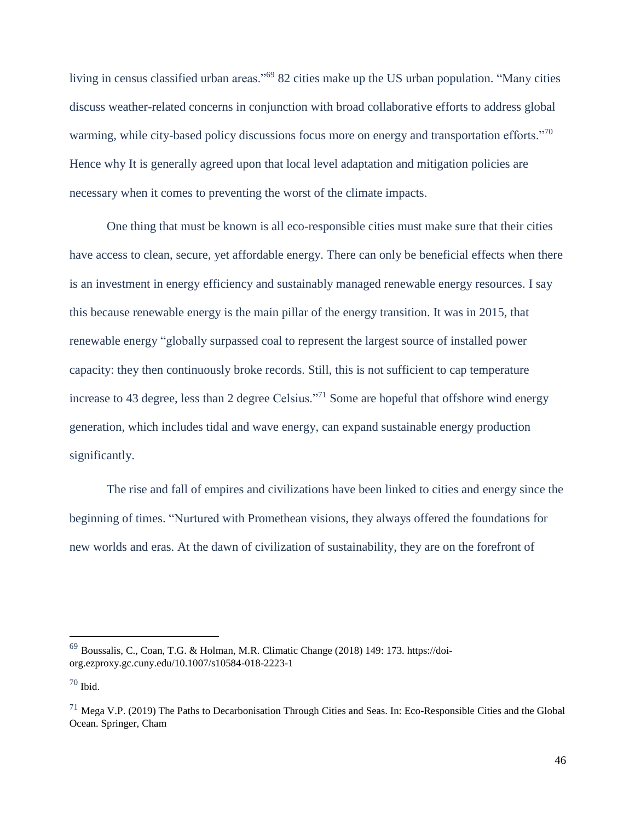living in census classified urban areas."<sup>69</sup> 82 cities make up the US urban population. "Many cities discuss weather-related concerns in conjunction with broad collaborative efforts to address global warming, while city-based policy discussions focus more on energy and transportation efforts."<sup>70</sup> Hence why It is generally agreed upon that local level adaptation and mitigation policies are necessary when it comes to preventing the worst of the climate impacts.

One thing that must be known is all eco-responsible cities must make sure that their cities have access to clean, secure, yet affordable energy. There can only be beneficial effects when there is an investment in energy efficiency and sustainably managed renewable energy resources. I say this because renewable energy is the main pillar of the energy transition. It was in 2015, that renewable energy "globally surpassed coal to represent the largest source of installed power capacity: they then continuously broke records. Still, this is not sufficient to cap temperature increase to 43 degree, less than 2 degree Celsius."<sup>71</sup> Some are hopeful that offshore wind energy generation, which includes tidal and wave energy, can expand sustainable energy production significantly.

The rise and fall of empires and civilizations have been linked to cities and energy since the beginning of times. "Nurtured with Promethean visions, they always offered the foundations for new worlds and eras. At the dawn of civilization of sustainability, they are on the forefront of

<sup>69</sup> Boussalis, C., Coan, T.G. & Holman, M.R. Climatic Change (2018) 149: 173. https://doiorg.ezproxy.gc.cuny.edu/10.1007/s10584-018-2223-1

<sup>70</sup> Ibid.

 $^{71}$  Mega V.P. (2019) The Paths to Decarbonisation Through Cities and Seas. In: Eco-Responsible Cities and the Global Ocean. Springer, Cham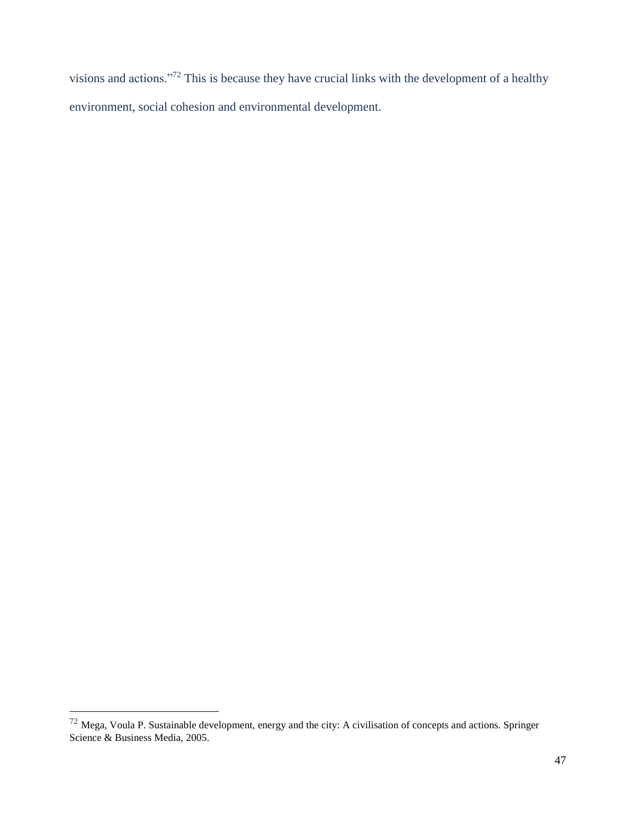visions and actions."<sup>72</sup> This is because they have crucial links with the development of a healthy environment, social cohesion and environmental development.

 $^{72}$  Mega, Voula P. Sustainable development, energy and the city: A civilisation of concepts and actions. Springer Science & Business Media, 2005.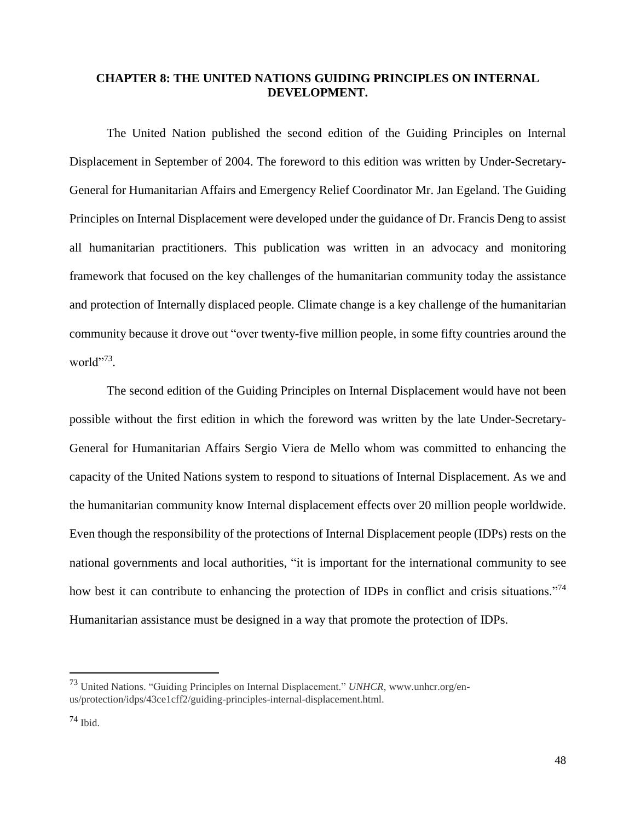#### **CHAPTER 8: THE UNITED NATIONS GUIDING PRINCIPLES ON INTERNAL DEVELOPMENT.**

The United Nation published the second edition of the Guiding Principles on Internal Displacement in September of 2004. The foreword to this edition was written by Under-Secretary-General for Humanitarian Affairs and Emergency Relief Coordinator Mr. Jan Egeland. The Guiding Principles on Internal Displacement were developed under the guidance of Dr. Francis Deng to assist all humanitarian practitioners. This publication was written in an advocacy and monitoring framework that focused on the key challenges of the humanitarian community today the assistance and protection of Internally displaced people. Climate change is a key challenge of the humanitarian community because it drove out "over twenty-five million people, in some fifty countries around the world"<sup>73</sup>.

The second edition of the Guiding Principles on Internal Displacement would have not been possible without the first edition in which the foreword was written by the late Under-Secretary-General for Humanitarian Affairs Sergio Viera de Mello whom was committed to enhancing the capacity of the United Nations system to respond to situations of Internal Displacement. As we and the humanitarian community know Internal displacement effects over 20 million people worldwide. Even though the responsibility of the protections of Internal Displacement people (IDPs) rests on the national governments and local authorities, "it is important for the international community to see how best it can contribute to enhancing the protection of IDPs in conflict and crisis situations."<sup>74</sup> Humanitarian assistance must be designed in a way that promote the protection of IDPs.

<sup>73</sup> United Nations. "Guiding Principles on Internal Displacement." *UNHCR*, www.unhcr.org/enus/protection/idps/43ce1cff2/guiding-principles-internal-displacement.html.

 $74$  Ibid.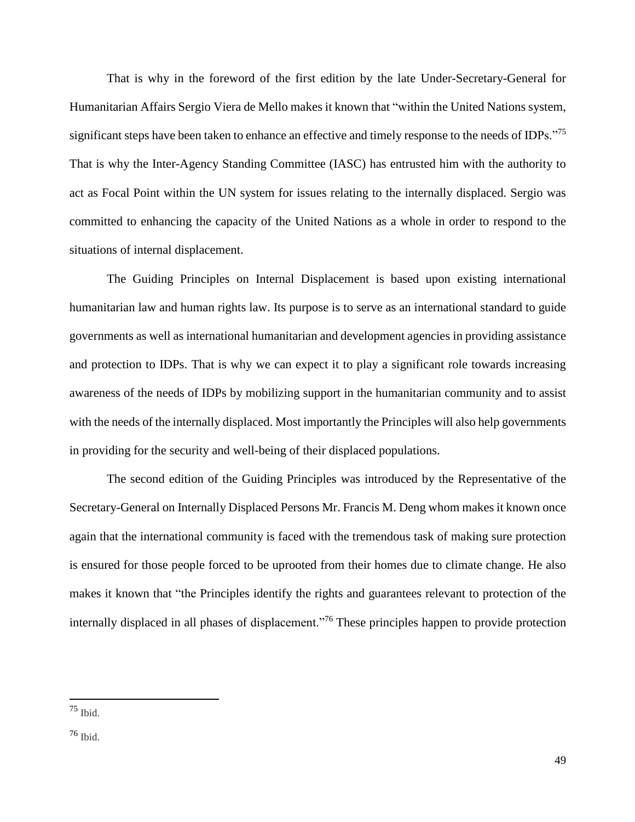That is why in the foreword of the first edition by the late Under-Secretary-General for Humanitarian Affairs Sergio Viera de Mello makes it known that "within the United Nations system, significant steps have been taken to enhance an effective and timely response to the needs of IDPs."<sup>75</sup> That is why the Inter-Agency Standing Committee (IASC) has entrusted him with the authority to act as Focal Point within the UN system for issues relating to the internally displaced. Sergio was committed to enhancing the capacity of the United Nations as a whole in order to respond to the situations of internal displacement.

The Guiding Principles on Internal Displacement is based upon existing international humanitarian law and human rights law. Its purpose is to serve as an international standard to guide governments as well as international humanitarian and development agencies in providing assistance and protection to IDPs. That is why we can expect it to play a significant role towards increasing awareness of the needs of IDPs by mobilizing support in the humanitarian community and to assist with the needs of the internally displaced. Most importantly the Principles will also help governments in providing for the security and well-being of their displaced populations.

The second edition of the Guiding Principles was introduced by the Representative of the Secretary-General on Internally Displaced Persons Mr. Francis M. Deng whom makes it known once again that the international community is faced with the tremendous task of making sure protection is ensured for those people forced to be uprooted from their homes due to climate change. He also makes it known that "the Principles identify the rights and guarantees relevant to protection of the internally displaced in all phases of displacement."<sup>76</sup> These principles happen to provide protection

<sup>75</sup> Ibid.

<sup>76</sup> Ibid.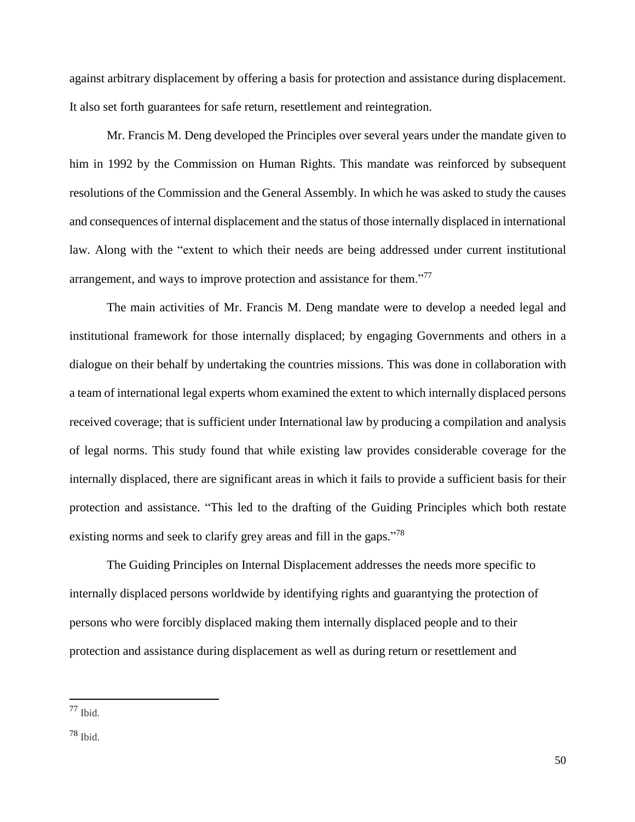against arbitrary displacement by offering a basis for protection and assistance during displacement. It also set forth guarantees for safe return, resettlement and reintegration.

Mr. Francis M. Deng developed the Principles over several years under the mandate given to him in 1992 by the Commission on Human Rights. This mandate was reinforced by subsequent resolutions of the Commission and the General Assembly. In which he was asked to study the causes and consequences of internal displacement and the status of those internally displaced in international law. Along with the "extent to which their needs are being addressed under current institutional arrangement, and ways to improve protection and assistance for them."<sup>77</sup>

The main activities of Mr. Francis M. Deng mandate were to develop a needed legal and institutional framework for those internally displaced; by engaging Governments and others in a dialogue on their behalf by undertaking the countries missions. This was done in collaboration with a team of international legal experts whom examined the extent to which internally displaced persons received coverage; that is sufficient under International law by producing a compilation and analysis of legal norms. This study found that while existing law provides considerable coverage for the internally displaced, there are significant areas in which it fails to provide a sufficient basis for their protection and assistance. "This led to the drafting of the Guiding Principles which both restate existing norms and seek to clarify grey areas and fill in the gaps."<sup>78</sup>

The Guiding Principles on Internal Displacement addresses the needs more specific to internally displaced persons worldwide by identifying rights and guarantying the protection of persons who were forcibly displaced making them internally displaced people and to their protection and assistance during displacement as well as during return or resettlement and

 $77$  Ibid.

<sup>78</sup> Ibid.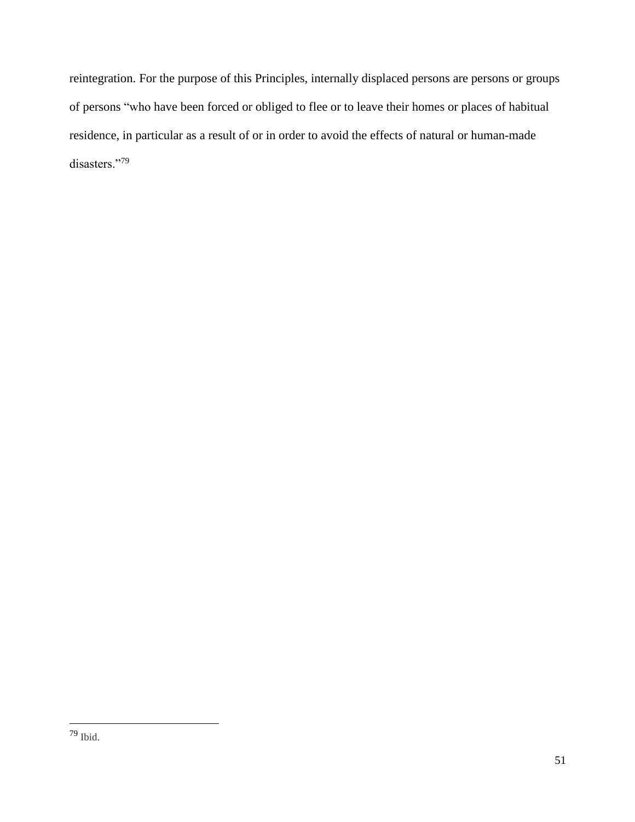reintegration. For the purpose of this Principles, internally displaced persons are persons or groups of persons "who have been forced or obliged to flee or to leave their homes or places of habitual residence, in particular as a result of or in order to avoid the effects of natural or human-made disasters."<sup>79</sup>

<sup>79</sup> Ibid.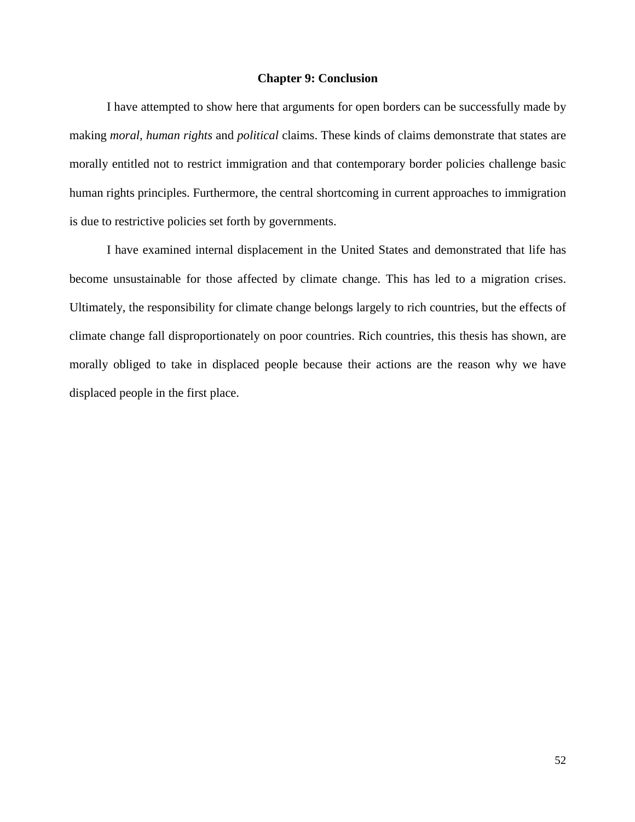#### **Chapter 9: Conclusion**

I have attempted to show here that arguments for open borders can be successfully made by making *moral, human rights* and *political* claims. These kinds of claims demonstrate that states are morally entitled not to restrict immigration and that contemporary border policies challenge basic human rights principles. Furthermore, the central shortcoming in current approaches to immigration is due to restrictive policies set forth by governments.

I have examined internal displacement in the United States and demonstrated that life has become unsustainable for those affected by climate change. This has led to a migration crises. Ultimately, the responsibility for climate change belongs largely to rich countries, but the effects of climate change fall disproportionately on poor countries. Rich countries, this thesis has shown, are morally obliged to take in displaced people because their actions are the reason why we have displaced people in the first place.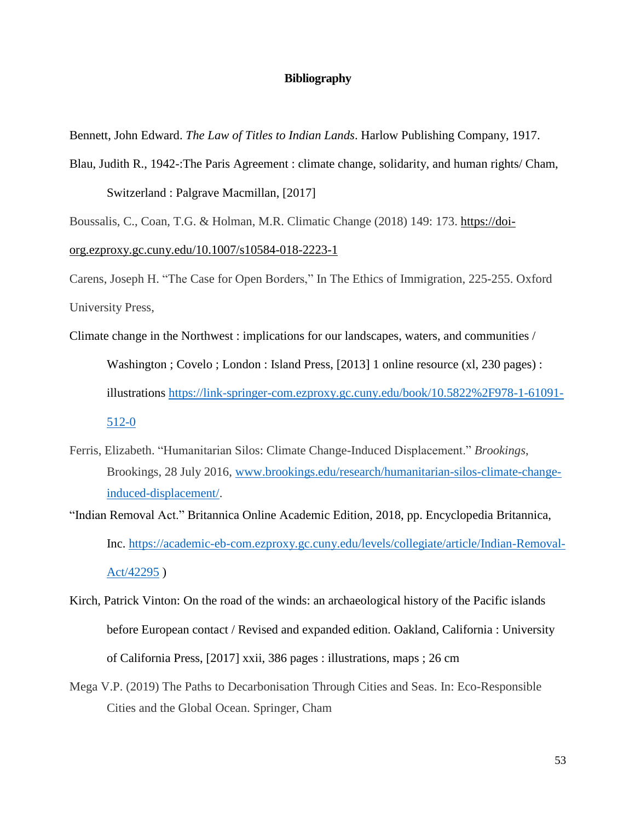#### **Bibliography**

Bennett, John Edward. *The Law of Titles to Indian Lands*. Harlow Publishing Company, 1917.

Blau, Judith R., 1942-:The Paris Agreement : climate change, solidarity, and human rights/ Cham,

Switzerland : Palgrave Macmillan, [2017]

Boussalis, C., Coan, T.G. & Holman, M.R. Climatic Change (2018) 149: 173. [https://doi-](https://doi-org.ezproxy.gc.cuny.edu/10.1007/s10584-018-2223-1)

[org.ezproxy.gc.cuny.edu/10.1007/s10584-018-2223-1](https://doi-org.ezproxy.gc.cuny.edu/10.1007/s10584-018-2223-1)

Carens, Joseph H. "The Case for Open Borders," In The Ethics of Immigration, 225-255. Oxford University Press,

- Climate change in the Northwest : implications for our landscapes, waters, and communities / Washington ; Covelo ; London : Island Press, [2013] 1 online resource (xl, 230 pages) : illustrations [https://link-springer-com.ezproxy.gc.cuny.edu/book/10.5822%2F978-1-61091-](https://link-springer-com.ezproxy.gc.cuny.edu/book/10.5822%2525252F978-1-61091-512-0) [512-0](https://link-springer-com.ezproxy.gc.cuny.edu/book/10.5822%2525252F978-1-61091-512-0)
- Ferris, Elizabeth. "Humanitarian Silos: Climate Change-Induced Displacement." *Brookings*, Brookings, 28 July 2016, [www.brookings.edu/research/humanitarian-silos-climate-change](http://www.brookings.edu/research/humanitarian-silos-climate-change-induced-displacement/)[induced-displacement/.](http://www.brookings.edu/research/humanitarian-silos-climate-change-induced-displacement/)
- "Indian Removal Act." Britannica Online Academic Edition, 2018, pp. Encyclopedia Britannica, Inc. [https://academic-eb-com.ezproxy.gc.cuny.edu/levels/collegiate/article/Indian-Removal-](https://academic-eb-com.ezproxy.gc.cuny.edu/levels/collegiate/article/Indian-Removal-Act/42295)[Act/42295](https://academic-eb-com.ezproxy.gc.cuny.edu/levels/collegiate/article/Indian-Removal-Act/42295) )
- Kirch, Patrick Vinton: On the road of the winds: an archaeological history of the Pacific islands before European contact / Revised and expanded edition. Oakland, California : University of California Press, [2017] xxii, 386 pages : illustrations, maps ; 26 cm
- Mega V.P. (2019) The Paths to Decarbonisation Through Cities and Seas. In: Eco-Responsible Cities and the Global Ocean. Springer, Cham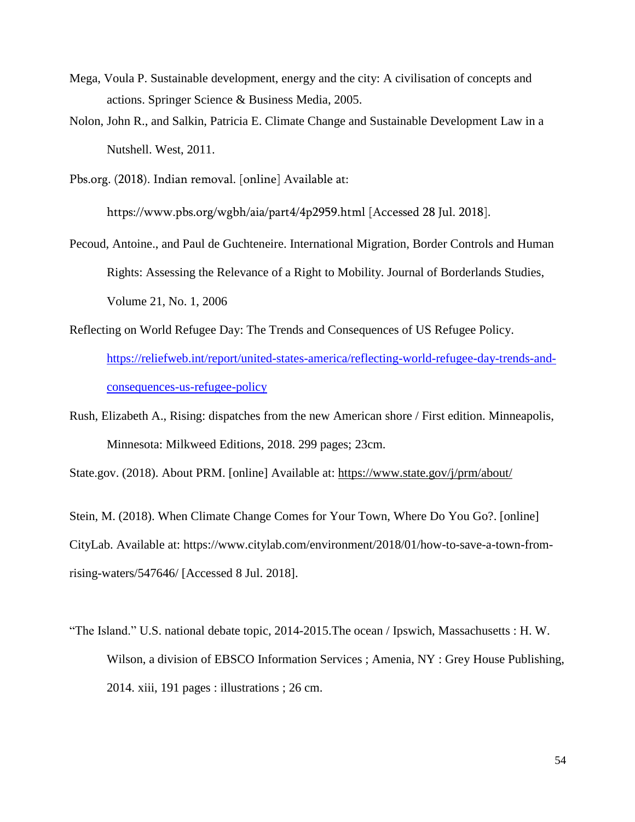- Mega, Voula P. Sustainable development, energy and the city: A civilisation of concepts and actions. Springer Science & Business Media, 2005.
- Nolon, John R., and Salkin, Patricia E. Climate Change and Sustainable Development Law in a Nutshell. West, 2011.
- Pbs.org. (2018). Indian removal. [online] Available at:

https://www.pbs.org/wgbh/aia/part4/4p2959.html [Accessed 28 Jul. 2018].

- Pecoud, Antoine., and Paul de Guchteneire. International Migration, Border Controls and Human Rights: Assessing the Relevance of a Right to Mobility. Journal of Borderlands Studies, Volume 21, No. 1, 2006
- Reflecting on World Refugee Day: The Trends and Consequences of US Refugee Policy. [https://reliefweb.int/report/united-states-america/reflecting-world-refugee-day-trends-and](https://reliefweb.int/report/united-states-america/reflecting-world-refugee-day-trends-and-consequences-us-refugee-policy)[consequences-us-refugee-policy](https://reliefweb.int/report/united-states-america/reflecting-world-refugee-day-trends-and-consequences-us-refugee-policy)
- Rush, Elizabeth A., Rising: dispatches from the new American shore / First edition. Minneapolis, Minnesota: Milkweed Editions, 2018. 299 pages; 23cm.

State.gov. (2018). About PRM. [online] Available at: <https://www.state.gov/j/prm/about/>

Stein, M. (2018). When Climate Change Comes for Your Town, Where Do You Go?. [online] CityLab. Available at: https://www.citylab.com/environment/2018/01/how-to-save-a-town-fromrising-waters/547646/ [Accessed 8 Jul. 2018].

"The Island." U.S. national debate topic, 2014-2015.The ocean / Ipswich, Massachusetts : H. W. Wilson, a division of EBSCO Information Services ; Amenia, NY : Grey House Publishing, 2014. xiii, 191 pages : illustrations ; 26 cm.